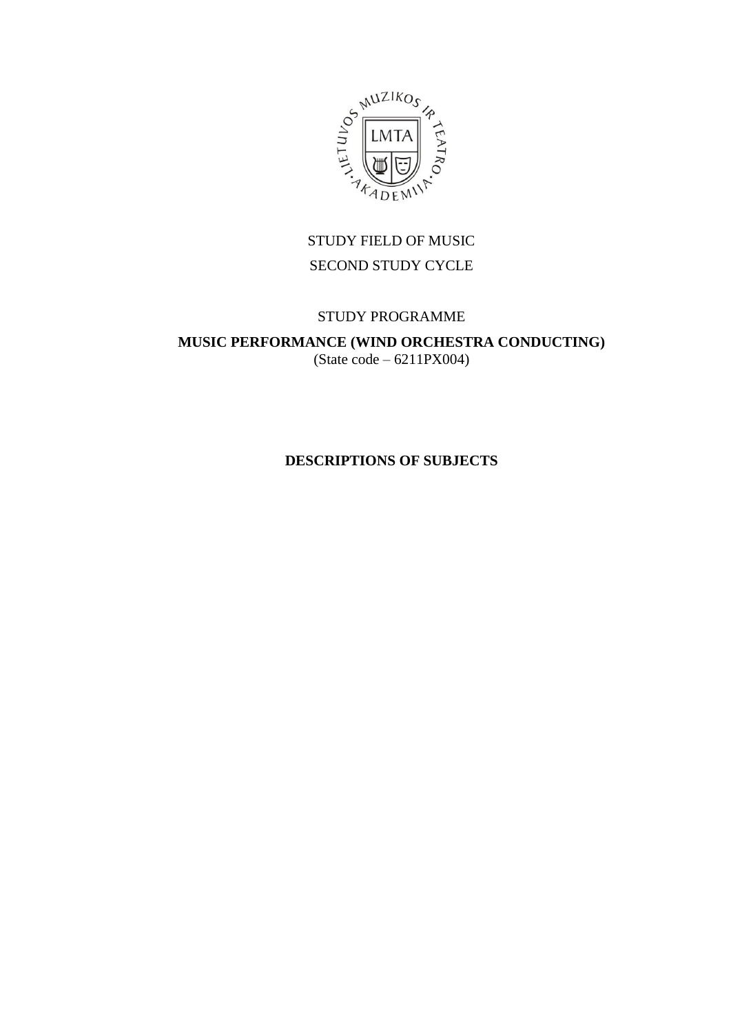

## STUDY FIELD OF MUSIC SECOND STUDY CYCLE

### STUDY PROGRAMME

**MUSIC PERFORMANCE (WIND ORCHESTRA CONDUCTING)**  $(State code - 6211PX004)$ 

**DESCRIPTIONS OF SUBJECTS**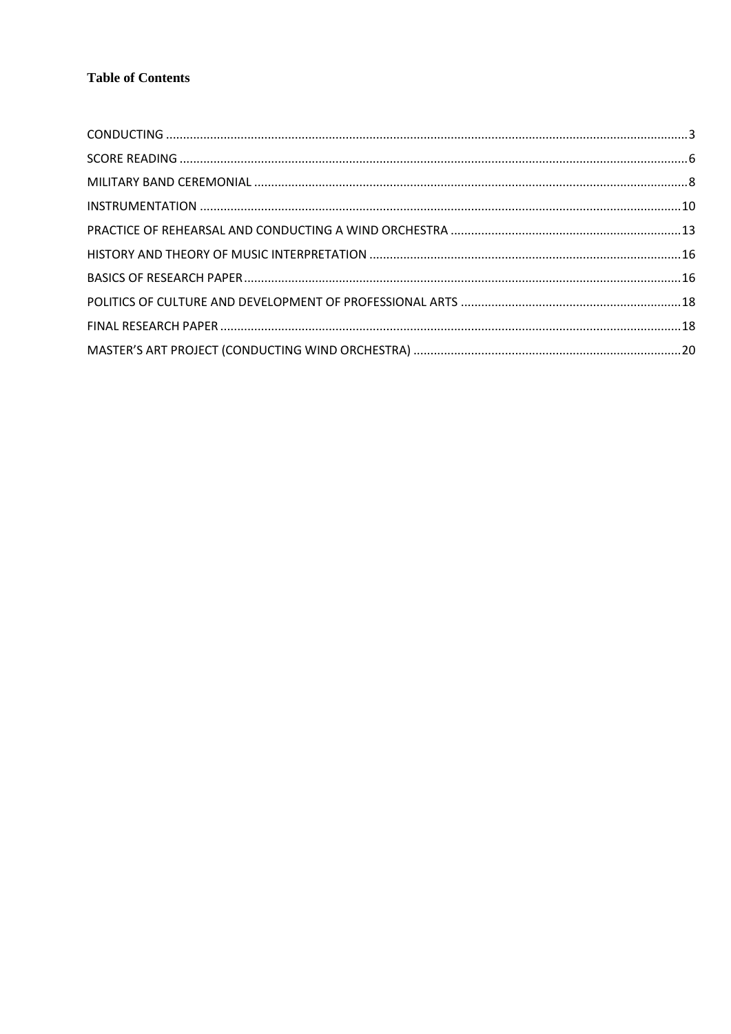### **Table of Contents**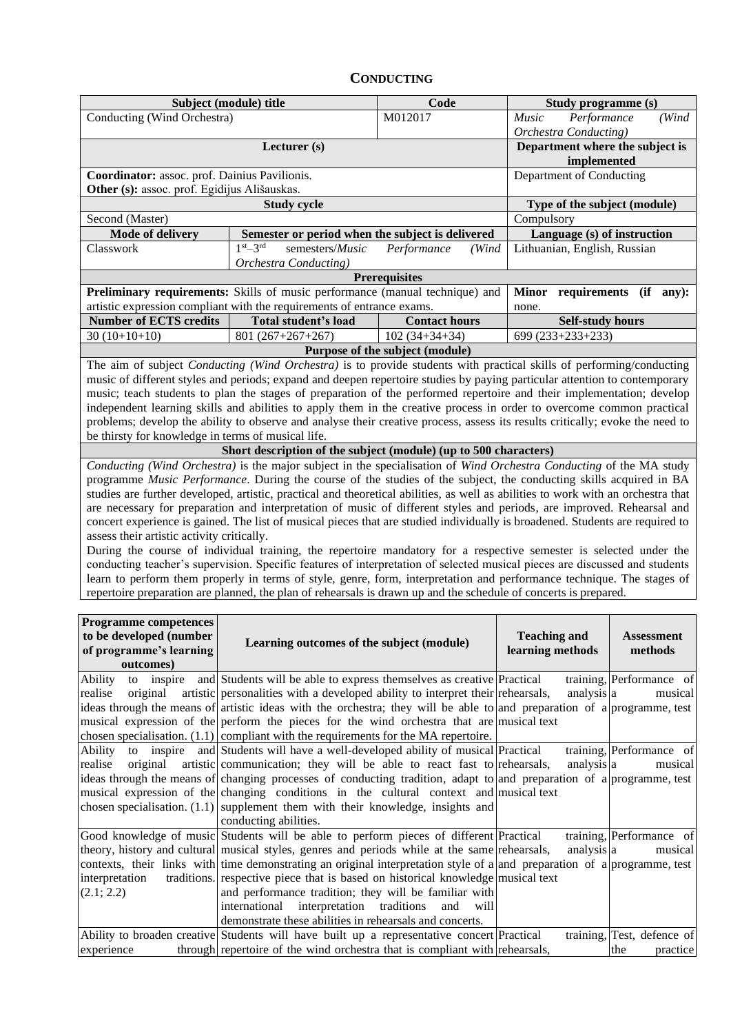### **CONDUCTING**

<span id="page-2-0"></span>

|                                                                                                                           | Subject (module) title                                                                                                            | Code                            |                              | Study programme (s)                           |  |  |  |  |  |
|---------------------------------------------------------------------------------------------------------------------------|-----------------------------------------------------------------------------------------------------------------------------------|---------------------------------|------------------------------|-----------------------------------------------|--|--|--|--|--|
| Conducting (Wind Orchestra)                                                                                               |                                                                                                                                   | M012017                         | Music                        | (Wind<br>Performance<br>Orchestra Conducting) |  |  |  |  |  |
| Department where the subject is<br>Lecturer (s)<br>implemented                                                            |                                                                                                                                   |                                 |                              |                                               |  |  |  |  |  |
| Coordinator: assoc. prof. Dainius Pavilionis.<br>Department of Conducting<br>Other (s): assoc. prof. Egidijus Ališauskas. |                                                                                                                                   |                                 |                              |                                               |  |  |  |  |  |
|                                                                                                                           | Type of the subject (module)                                                                                                      |                                 |                              |                                               |  |  |  |  |  |
| Second (Master)                                                                                                           | <b>Study cycle</b>                                                                                                                | Compulsory                      |                              |                                               |  |  |  |  |  |
| <b>Mode of delivery</b>                                                                                                   | Semester or period when the subject is delivered                                                                                  |                                 | Language (s) of instruction  |                                               |  |  |  |  |  |
| Classwork                                                                                                                 | $1st-3rd$<br>semesters/Music                                                                                                      | Performance<br>(Wind            | Lithuanian, English, Russian |                                               |  |  |  |  |  |
|                                                                                                                           | Orchestra Conducting)                                                                                                             |                                 |                              |                                               |  |  |  |  |  |
|                                                                                                                           | Preliminary requirements: Skills of music performance (manual technique) and                                                      | <b>Prerequisites</b>            |                              | requirements (if any):                        |  |  |  |  |  |
|                                                                                                                           | artistic expression compliant with the requirements of entrance exams.                                                            |                                 | <b>Minor</b><br>none.        |                                               |  |  |  |  |  |
| <b>Number of ECTS credits</b>                                                                                             | Total student's load                                                                                                              | <b>Contact hours</b>            | <b>Self-study hours</b>      |                                               |  |  |  |  |  |
| $30(10+10+10)$                                                                                                            | $801(267+267+267)$                                                                                                                | $102(34+34+34)$                 | 699 (233+233+233)            |                                               |  |  |  |  |  |
|                                                                                                                           |                                                                                                                                   | Purpose of the subject (module) |                              |                                               |  |  |  |  |  |
|                                                                                                                           | The aim of subject Conducting (Wind Orchestra) is to provide students with practical skills of performing/conducting              |                                 |                              |                                               |  |  |  |  |  |
|                                                                                                                           | music of different styles and periods; expand and deepen repertoire studies by paying particular attention to contemporary        |                                 |                              |                                               |  |  |  |  |  |
|                                                                                                                           | music; teach students to plan the stages of preparation of the performed repertoire and their implementation; develop             |                                 |                              |                                               |  |  |  |  |  |
|                                                                                                                           | independent learning skills and abilities to apply them in the creative process in order to overcome common practical             |                                 |                              |                                               |  |  |  |  |  |
|                                                                                                                           | problems; develop the ability to observe and analyse their creative process, assess its results critically; evoke the need to     |                                 |                              |                                               |  |  |  |  |  |
| be thirsty for knowledge in terms of musical life.                                                                        |                                                                                                                                   |                                 |                              |                                               |  |  |  |  |  |
|                                                                                                                           | Short description of the subject (module) (up to 500 characters)                                                                  |                                 |                              |                                               |  |  |  |  |  |
|                                                                                                                           | Conducting (Wind Orchestra) is the major subject in the specialisation of Wind Orchestra Conducting of the MA study               |                                 |                              |                                               |  |  |  |  |  |
|                                                                                                                           | programme Music Performance. During the course of the studies of the subject, the conducting skills acquired in BA                |                                 |                              |                                               |  |  |  |  |  |
|                                                                                                                           | studies are further developed, artistic, practical and theoretical abilities, as well as abilities to work with an orchestra that |                                 |                              |                                               |  |  |  |  |  |
|                                                                                                                           | are necessary for preparation and interpretation of music of different styles and periods, are improved. Rehearsal and            |                                 |                              |                                               |  |  |  |  |  |
|                                                                                                                           | concert experience is gained. The list of musical pieces that are studied individually is broadened. Students are required to     |                                 |                              |                                               |  |  |  |  |  |
| assess their artistic activity critically.                                                                                |                                                                                                                                   |                                 |                              |                                               |  |  |  |  |  |
|                                                                                                                           | During the course of individual training, the repertoire mandatory for a respective semester is selected under the                |                                 |                              |                                               |  |  |  |  |  |
|                                                                                                                           | conducting teacher's supervision. Specific features of interpretation of selected musical pieces are discussed and students       |                                 |                              |                                               |  |  |  |  |  |
|                                                                                                                           | learn to perform them properly in terms of style, genre, form, interpretation and performance technique. The stages of            |                                 |                              |                                               |  |  |  |  |  |
|                                                                                                                           | repertoire preparation are planned, the plan of rehearsals is drawn up and the schedule of concerts is prepared.                  |                                 |                              |                                               |  |  |  |  |  |
| <b>Programme competences</b>                                                                                              |                                                                                                                                   |                                 |                              |                                               |  |  |  |  |  |
| to be developed (number                                                                                                   |                                                                                                                                   |                                 | <b>Teaching and</b>          | <b>Assessment</b>                             |  |  |  |  |  |
| of programme's learning                                                                                                   | Learning outcomes of the subject (module)                                                                                         |                                 | learning methods             | methods                                       |  |  |  |  |  |
| outcomes)                                                                                                                 |                                                                                                                                   |                                 |                              |                                               |  |  |  |  |  |
| Ability<br>to<br>inspire                                                                                                  | and Students will be able to express themselves as creative Practical                                                             |                                 |                              | training, Performance of                      |  |  |  |  |  |
| original<br>realise                                                                                                       | artistic personalities with a developed ability to interpret their rehearsals,                                                    |                                 | analysis a                   | musical                                       |  |  |  |  |  |
|                                                                                                                           | ideas through the means of artistic ideas with the orchestra; they will be able to and preparation of a programme, test           |                                 |                              |                                               |  |  |  |  |  |
|                                                                                                                           | musical expression of the perform the pieces for the wind orchestra that are musical text                                         |                                 |                              |                                               |  |  |  |  |  |
|                                                                                                                           | chosen specialisation. $(1.1)$ compliant with the requirements for the MA repertoire.                                             |                                 |                              |                                               |  |  |  |  |  |
| Ability<br>to inspire                                                                                                     | and Students will have a well-developed ability of musical Practical                                                              |                                 |                              | training, Performance of                      |  |  |  |  |  |
| realise<br>original                                                                                                       | artistic communication; they will be able to react fast to rehearsals,                                                            |                                 | analysis a                   | musical                                       |  |  |  |  |  |
|                                                                                                                           | ideas through the means of changing processes of conducting tradition, adapt to and preparation of a programme, test              |                                 |                              |                                               |  |  |  |  |  |
|                                                                                                                           | musical expression of the changing conditions in the cultural context and musical text                                            |                                 |                              |                                               |  |  |  |  |  |
|                                                                                                                           | chosen specialisation. $(1.1)$ supplement them with their knowledge, insights and                                                 |                                 |                              |                                               |  |  |  |  |  |
|                                                                                                                           | conducting abilities.                                                                                                             |                                 |                              |                                               |  |  |  |  |  |
|                                                                                                                           | Good knowledge of music Students will be able to perform pieces of different Practical<br>training, Performance of<br>musical     |                                 |                              |                                               |  |  |  |  |  |
|                                                                                                                           | theory, history and cultural musical styles, genres and periods while at the same rehearsals,<br>analysis a                       |                                 |                              |                                               |  |  |  |  |  |
|                                                                                                                           | contexts, their links with time demonstrating an original interpretation style of a and preparation of a programme, test          |                                 |                              |                                               |  |  |  |  |  |
| interpretation                                                                                                            | traditions. respective piece that is based on historical knowledge musical text                                                   |                                 |                              |                                               |  |  |  |  |  |
| (2.1; 2.2)                                                                                                                | and performance tradition; they will be familiar with                                                                             |                                 |                              |                                               |  |  |  |  |  |
|                                                                                                                           | international<br>interpretation                                                                                                   | traditions<br>and<br>will       |                              |                                               |  |  |  |  |  |
|                                                                                                                           | demonstrate these abilities in rehearsals and concerts.                                                                           |                                 |                              |                                               |  |  |  |  |  |
|                                                                                                                           | Ability to broaden creative Students will have built up a representative concert Practical                                        |                                 |                              | training, Test, defence of                    |  |  |  |  |  |
| experience                                                                                                                | through repertoire of the wind orchestra that is compliant with rehearsals,                                                       |                                 |                              | the<br>practice                               |  |  |  |  |  |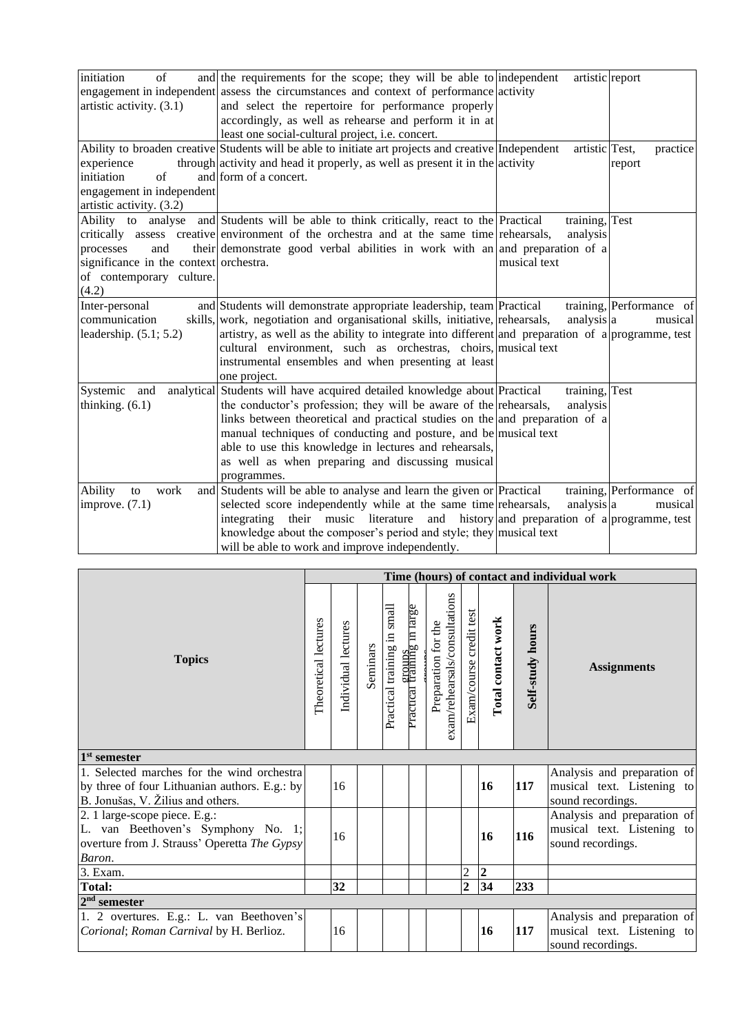| initiation<br>of                       | and the requirements for the scope; they will be able to independent                                | artistic report |                          |
|----------------------------------------|-----------------------------------------------------------------------------------------------------|-----------------|--------------------------|
|                                        | engagement in independent assess the circumstances and context of performance activity              |                 |                          |
| artistic activity. (3.1)               | and select the repertoire for performance properly                                                  |                 |                          |
|                                        | accordingly, as well as rehearse and perform it in at                                               |                 |                          |
|                                        | least one social-cultural project, i.e. concert.                                                    |                 |                          |
|                                        | Ability to broaden creative Students will be able to initiate art projects and creative Independent | artistic Test,  | practice                 |
| experience                             | through activity and head it properly, as well as present it in the activity                        |                 | report                   |
| of<br>initiation                       | and form of a concert.                                                                              |                 |                          |
| engagement in independent              |                                                                                                     |                 |                          |
| artistic activity. (3.2)               |                                                                                                     |                 |                          |
|                                        | Ability to analyse and Students will be able to think critically, react to the Practical            | training, Test  |                          |
|                                        | critically assess creative environment of the orchestra and at the same time rehearsals,            | analysis        |                          |
| and<br>processes                       | their demonstrate good verbal abilities in work with an and preparation of a                        |                 |                          |
| significance in the context orchestra. |                                                                                                     | musical text    |                          |
| of contemporary culture.               |                                                                                                     |                 |                          |
| (4.2)                                  |                                                                                                     |                 |                          |
| Inter-personal                         | and Students will demonstrate appropriate leadership, team Practical                                |                 | training, Performance of |
| communication                          | skills, work, negotiation and organisational skills, initiative, rehearsals,                        | analysis a      | musical                  |
| leadership. $(5.1; 5.2)$               | artistry, as well as the ability to integrate into different and preparation of a programme, test   |                 |                          |
|                                        | cultural environment, such as orchestras, choirs, musical text                                      |                 |                          |
|                                        | instrumental ensembles and when presenting at least                                                 |                 |                          |
|                                        | one project.                                                                                        |                 |                          |
| Systemic and                           | analytical Students will have acquired detailed knowledge about Practical                           | training, Test  |                          |
| thinking. $(6.1)$                      | the conductor's profession; they will be aware of the rehearsals,                                   | analysis        |                          |
|                                        | links between theoretical and practical studies on the and preparation of a                         |                 |                          |
|                                        | manual techniques of conducting and posture, and be musical text                                    |                 |                          |
|                                        | able to use this knowledge in lectures and rehearsals,                                              |                 |                          |
|                                        | as well as when preparing and discussing musical                                                    |                 |                          |
|                                        | programmes.                                                                                         |                 |                          |
| Ability<br>work<br>to                  | and Students will be able to analyse and learn the given or Practical                               |                 | training, Performance of |
| improve. $(7.1)$                       | selected score independently while at the same time rehearsals,                                     | analysis a      | musical                  |
|                                        | their music literature and history and preparation of a programme, test<br>integrating              |                 |                          |
|                                        | knowledge about the composer's period and style; they musical text                                  |                 |                          |
|                                        | will be able to work and improve independently.                                                     |                 |                          |

|                                                                                                                                   |  |                     |          |                             |                                              |                                                      |                         |                    |                  | Time (hours) of contact and individual work                                    |
|-----------------------------------------------------------------------------------------------------------------------------------|--|---------------------|----------|-----------------------------|----------------------------------------------|------------------------------------------------------|-------------------------|--------------------|------------------|--------------------------------------------------------------------------------|
| <b>Topics</b>                                                                                                                     |  | Individual lectures | Seminars | Practical training in small | <u>eroups</u><br>Practical training in large | exam/rehearsals/consultations<br>Preparation for the | Exam/course credit test | Total contact work | Self-study hours | <b>Assignments</b>                                                             |
| $1st$ semester                                                                                                                    |  |                     |          |                             |                                              |                                                      |                         |                    |                  |                                                                                |
| 1. Selected marches for the wind orchestral<br>by three of four Lithuanian authors. E.g.: by<br>B. Jonušas, V. Žilius and others. |  | 16                  |          |                             |                                              |                                                      |                         | 16                 | 117              | Analysis and preparation of<br>musical text. Listening to<br>sound recordings. |
| 2. 1 large-scope piece. E.g.:<br>L. van Beethoven's Symphony No. 1;<br>overture from J. Strauss' Operetta The Gypsy<br>Baron.     |  | 16                  |          |                             |                                              |                                                      |                         | 16                 | 116              | Analysis and preparation of<br>musical text. Listening to<br>sound recordings. |
| 3. Exam.                                                                                                                          |  |                     |          |                             |                                              |                                                      | 2                       | $\overline{2}$     |                  |                                                                                |
| <b>Total:</b>                                                                                                                     |  | 32                  |          |                             |                                              |                                                      | $\overline{2}$          | 34                 | 233              |                                                                                |
| $2nd$ semester                                                                                                                    |  |                     |          |                             |                                              |                                                      |                         |                    |                  |                                                                                |
| 1. 2 overtures. E.g.: L. van Beethoven's<br>Corional; Roman Carnival by H. Berlioz.                                               |  | 16                  |          |                             |                                              |                                                      |                         | 16                 | 117              | Analysis and preparation of<br>musical text. Listening to<br>sound recordings. |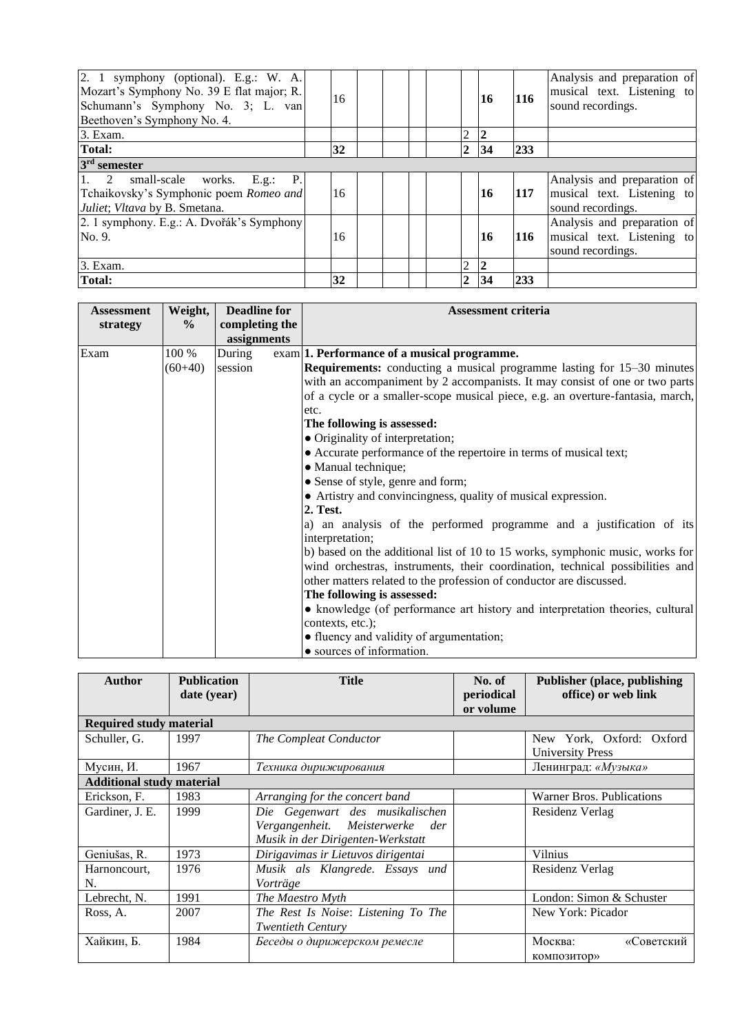| 2. 1 symphony (optional). E.g.: W. A.<br>Mozart's Symphony No. 39 E flat major; R.<br>Schumann's Symphony No. 3; L. van<br>Beethoven's Symphony No. 4. | 16 |                | <b>16</b> | <b>116</b> | Analysis and preparation of<br>musical text. Listening to<br>sound recordings. |
|--------------------------------------------------------------------------------------------------------------------------------------------------------|----|----------------|-----------|------------|--------------------------------------------------------------------------------|
| 3. Exam.                                                                                                                                               |    | $\overline{2}$ | 2         |            |                                                                                |
| <b>Total:</b>                                                                                                                                          | 32 | $\overline{2}$ | 34        | 233        |                                                                                |
| $3rd$ semester                                                                                                                                         |    |                |           |            |                                                                                |
| $\vert 1.$ 2<br>small-scale works. E.g.: P.<br>Tchaikovsky's Symphonic poem Romeo and<br>Juliet; Vltava by B. Smetana.                                 | 16 |                | <b>16</b> | 117        | Analysis and preparation of<br>musical text. Listening to<br>sound recordings. |
| 2. 1 symphony. E.g.: A. Dvořák's Symphony<br>No. 9.                                                                                                    | 16 |                | <b>16</b> | 116        | Analysis and preparation of<br>musical text. Listening to<br>sound recordings. |
| 3. Exam.                                                                                                                                               |    | 2              | 2         |            |                                                                                |
| Total:                                                                                                                                                 | 32 | $\overline{2}$ | 34        | 233        |                                                                                |

| <b>Assessment</b> | Weight,   | <b>Deadline for</b> | <b>Assessment criteria</b>                                                     |
|-------------------|-----------|---------------------|--------------------------------------------------------------------------------|
| strategy          | $\%$      | completing the      |                                                                                |
|                   |           | assignments         |                                                                                |
| Exam              | 100 %     | During              | exam 1. Performance of a musical programme.                                    |
|                   | $(60+40)$ | session             | <b>Requirements:</b> conducting a musical programme lasting for 15–30 minutes  |
|                   |           |                     | with an accompaniment by 2 accompanists. It may consist of one or two parts    |
|                   |           |                     | of a cycle or a smaller-scope musical piece, e.g. an overture-fantasia, march, |
|                   |           |                     | etc.                                                                           |
|                   |           |                     | The following is assessed:                                                     |
|                   |           |                     | • Originality of interpretation;                                               |
|                   |           |                     | • Accurate performance of the repertoire in terms of musical text;             |
|                   |           |                     | • Manual technique;                                                            |
|                   |           |                     | • Sense of style, genre and form;                                              |
|                   |           |                     | • Artistry and convincingness, quality of musical expression.                  |
|                   |           |                     | 2. Test.                                                                       |
|                   |           |                     | a) an analysis of the performed programme and a justification of its           |
|                   |           |                     | interpretation;                                                                |
|                   |           |                     | b) based on the additional list of 10 to 15 works, symphonic music, works for  |
|                   |           |                     | wind orchestras, instruments, their coordination, technical possibilities and  |
|                   |           |                     | other matters related to the profession of conductor are discussed.            |
|                   |           |                     | The following is assessed:                                                     |
|                   |           |                     | • knowledge (of performance art history and interpretation theories, cultural  |
|                   |           |                     | contexts, etc.);                                                               |
|                   |           |                     | • fluency and validity of argumentation;                                       |
|                   |           |                     | • sources of information.                                                      |

| <b>Author</b>                    | <b>Publication</b> | <b>Title</b>                        | No. of            | <b>Publisher (place, publishing)</b> |  |  |  |
|----------------------------------|--------------------|-------------------------------------|-------------------|--------------------------------------|--|--|--|
|                                  | date (year)        |                                     | periodical        | office) or web link                  |  |  |  |
|                                  |                    |                                     | or volume         |                                      |  |  |  |
| <b>Required study material</b>   |                    |                                     |                   |                                      |  |  |  |
| Schuller, G.                     | 1997               | The Compleat Conductor              |                   | New York, Oxford: Oxford             |  |  |  |
|                                  |                    |                                     |                   | <b>University Press</b>              |  |  |  |
| Мусин, И.                        | 1967               | Техника дирижирования               |                   | Ленинград: «Музыка»                  |  |  |  |
| <b>Additional study material</b> |                    |                                     |                   |                                      |  |  |  |
| Erickson, F.                     | 1983               | Arranging for the concert band      |                   |                                      |  |  |  |
| Gardiner, J. E.                  | 1999               | Die Gegenwart des musikalischen     |                   | Residenz Verlag                      |  |  |  |
|                                  |                    | Vergangenheit. Meisterwerke<br>der  |                   |                                      |  |  |  |
|                                  |                    | Musik in der Dirigenten-Werkstatt   |                   |                                      |  |  |  |
| Geniušas, R.                     | 1973               | Dirigavimas ir Lietuvos dirigentai  |                   | Vilnius                              |  |  |  |
| Harnoncourt,                     | 1976               | Musik als Klangrede. Essays und     |                   | Residenz Verlag                      |  |  |  |
| N.                               |                    | Vorträge                            |                   |                                      |  |  |  |
| Lebrecht, N.                     | 1991               | The Maestro Myth                    |                   | London: Simon & Schuster             |  |  |  |
| Ross, A.                         | 2007               | The Rest Is Noise: Listening To The | New York: Picador |                                      |  |  |  |
|                                  |                    | <b>Twentieth Century</b>            |                   |                                      |  |  |  |
| Хайкин, Б.                       | 1984               | Беседы о дирижерском ремесле        |                   | Москва:<br>«Советский                |  |  |  |
|                                  |                    |                                     |                   | композитор»                          |  |  |  |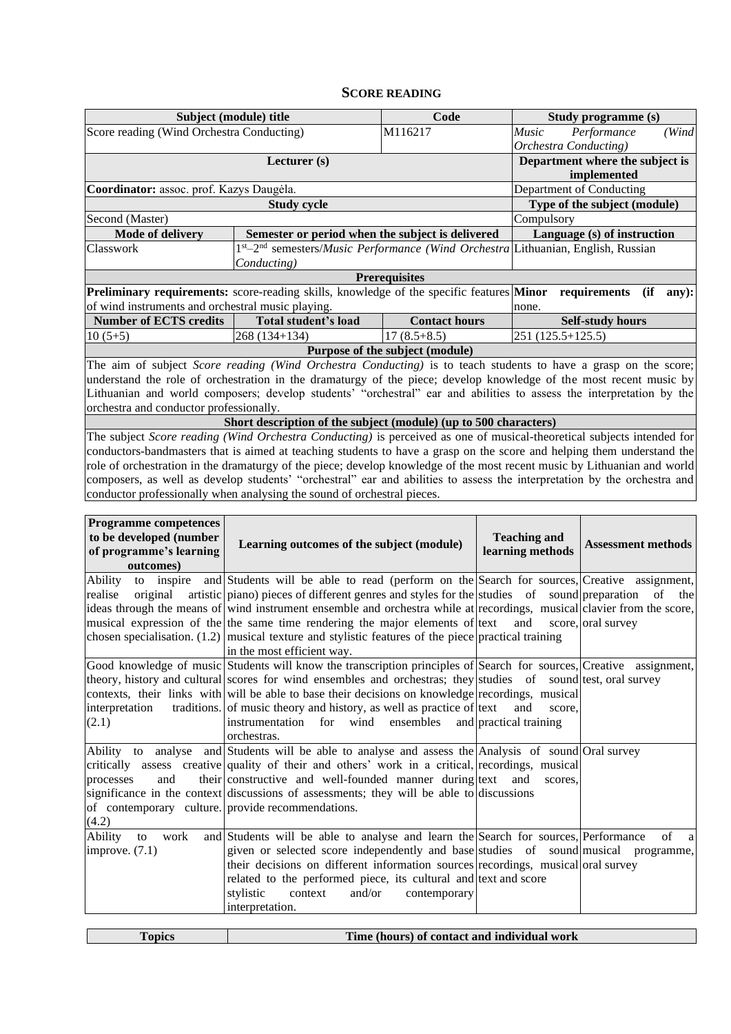#### **SCORE READING**

<span id="page-5-0"></span>

|                                                                                                                    | Subject (module) title                           | Code                 |                                                                                            | Study programme (s)          |              |  |  |
|--------------------------------------------------------------------------------------------------------------------|--------------------------------------------------|----------------------|--------------------------------------------------------------------------------------------|------------------------------|--------------|--|--|
| Score reading (Wind Orchestra Conducting)                                                                          |                                                  | M116217              | Music                                                                                      | Performance                  | (Wind        |  |  |
|                                                                                                                    |                                                  |                      |                                                                                            | Orchestra Conducting)        |              |  |  |
|                                                                                                                    |                                                  |                      | Department where the subject is                                                            |                              |              |  |  |
|                                                                                                                    |                                                  |                      | implemented                                                                                |                              |              |  |  |
| Coordinator: assoc. prof. Kazys Daugėla.                                                                           |                                                  |                      |                                                                                            | Department of Conducting     |              |  |  |
|                                                                                                                    | <b>Study cycle</b>                               |                      |                                                                                            | Type of the subject (module) |              |  |  |
| Second (Master)                                                                                                    |                                                  |                      | Compulsory                                                                                 |                              |              |  |  |
| <b>Mode of delivery</b>                                                                                            | Semester or period when the subject is delivered |                      | Language (s) of instruction                                                                |                              |              |  |  |
| Classwork                                                                                                          |                                                  |                      | $1st-2nd$ semesters/ <i>Music Performance (Wind Orchestra</i> Lithuanian, English, Russian |                              |              |  |  |
|                                                                                                                    | Conducting)                                      |                      |                                                                                            |                              |              |  |  |
|                                                                                                                    |                                                  | <b>Prerequisites</b> |                                                                                            |                              |              |  |  |
| <b>Preliminary requirements:</b> score-reading skills, knowledge of the specific features <b>Minor</b>             |                                                  |                      |                                                                                            | requirements                 | (if<br>any): |  |  |
| of wind instruments and orchestral music playing.                                                                  |                                                  |                      | none.                                                                                      |                              |              |  |  |
| Number of ECTS credits                                                                                             | Total student's load                             | <b>Contact hours</b> |                                                                                            | <b>Self-study hours</b>      |              |  |  |
| $10(5+5)$                                                                                                          | $268(134+134)$                                   | $17(8.5+8.5)$        |                                                                                            | $251(125.5+125.5)$           |              |  |  |
| Purpose of the subject (module)                                                                                    |                                                  |                      |                                                                                            |                              |              |  |  |
| The aim of subject Score reading (Wind Orchestra Conducting) is to teach students to have a grasp on the score;    |                                                  |                      |                                                                                            |                              |              |  |  |
| understand the role of orchestration in the dramaturgy of the piece; develop knowledge of the most recent music by |                                                  |                      |                                                                                            |                              |              |  |  |

understand the role of orchestration in the dramaturgy of the piece; develop knowledge of the most recent music by Lithuanian and world composers; develop students' "orchestral" ear and abilities to assess the interpretation by the orchestra and conductor professionally.

**Short description of the subject (module) (up to 500 characters)**

The subject *Score reading (Wind Orchestra Conducting)* is perceived as one of musical-theoretical subjects intended for conductors-bandmasters that is aimed at teaching students to have a grasp on the score and helping them understand the role of orchestration in the dramaturgy of the piece; develop knowledge of the most recent music by Lithuanian and world composers, as well as develop students' "orchestral" ear and abilities to assess the interpretation by the orchestra and conductor professionally when analysing the sound of orchestral pieces.

| <b>Programme competences</b><br>to be developed (number<br>of programme's learning<br>outcomes) | Learning outcomes of the subject (module)                                                                                                                                                                                                                                                                                                                                                                                                                                                                                                                   | <b>Teaching and</b><br>learning methods | <b>Assessment methods</b> |
|-------------------------------------------------------------------------------------------------|-------------------------------------------------------------------------------------------------------------------------------------------------------------------------------------------------------------------------------------------------------------------------------------------------------------------------------------------------------------------------------------------------------------------------------------------------------------------------------------------------------------------------------------------------------------|-----------------------------------------|---------------------------|
| Ability<br>realise<br>original                                                                  | to inspire and Students will be able to read (perform on the Search for sources, Creative assignment,<br>artistic piano) pieces of different genres and styles for the studies of sound preparation of the<br>ideas through the means of wind instrument ensemble and orchestra while at recordings, musical clavier from the score,<br>musical expression of the the same time rendering the major elements of text<br>chosen specialisation. $(1.2)$ musical texture and stylistic features of the piece practical training<br>in the most efficient way. | and                                     | score, oral survey        |
| interpretation<br>(2.1)                                                                         | Good knowledge of music Students will know the transcription principles of Search for sources, Creative assignment,<br>theory, history and cultural scores for wind ensembles and orchestras; they studies of sound test, oral survey<br>contexts, their links with will be able to base their decisions on knowledge recordings, musical<br>traditions. of music theory and history, as well as practice of text<br>instrumentation for wind<br>ensembles and practical training<br>orchestras.                                                            | and<br>score.                           |                           |
| and<br>processes<br>of contemporary culture. provide recommendations.<br>(4.2)                  | Ability to analyse and Students will be able to analyse and assess the Analysis of sound Oral survey<br>critically assess creative quality of their and others' work in a critical, recordings, musical<br>their constructive and well-founded manner during text<br>significance in the context discussions of assessments; they will be able to discussions                                                                                                                                                                                               | and<br>scores.                          |                           |
| Ability<br>work<br>to<br>improve. $(7.1)$                                                       | and Students will be able to analyse and learn the Search for sources, Performance<br>given or selected score independently and base studies of sound musical programme,<br>their decisions on different information sources recordings, musical oral survey<br>related to the performed piece, its cultural and text and score<br>and/or<br>stylistic<br>context<br>contemporary<br>interpretation.                                                                                                                                                        |                                         | of<br>a                   |

| <b>opics</b> | Time (hours) of contact and individual work |
|--------------|---------------------------------------------|
|              |                                             |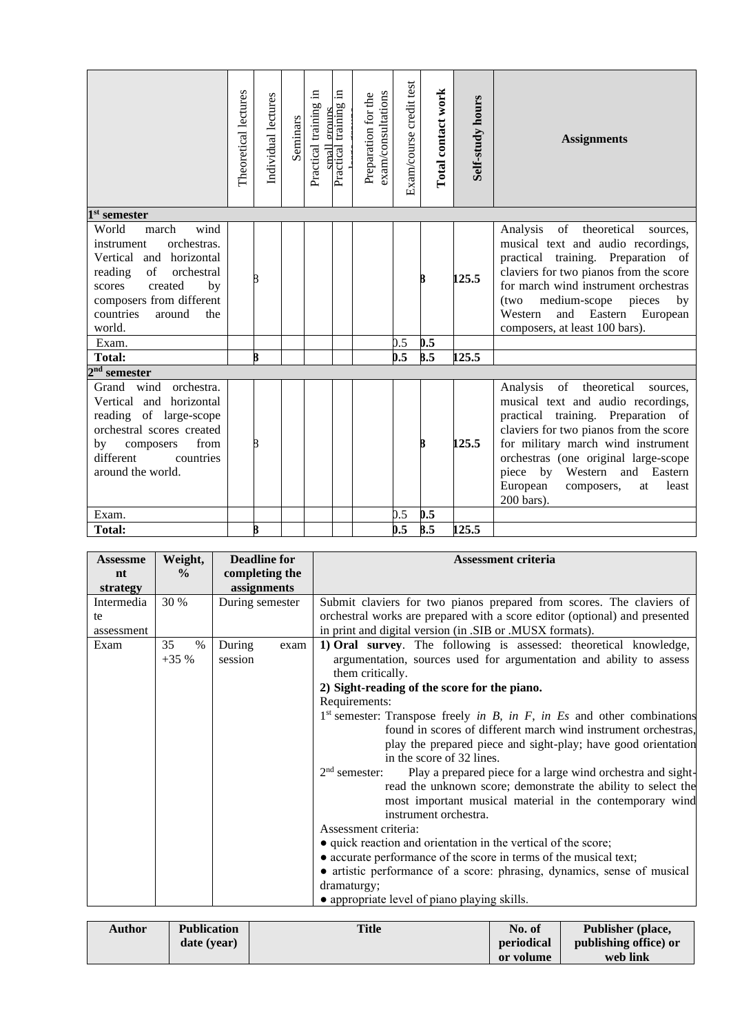|                                                                                                                                                                                                              | Theoretical lectures | Individual lectures | Seminars | Practical training in<br>small | $\Xi$<br>Practical training<br>prouns | exam/consultations<br>Preparation for the | Exam/course credit test | Total contact work | Self-study hours | <b>Assignments</b>                                                                                                                                                                                                                                                                                                                |
|--------------------------------------------------------------------------------------------------------------------------------------------------------------------------------------------------------------|----------------------|---------------------|----------|--------------------------------|---------------------------------------|-------------------------------------------|-------------------------|--------------------|------------------|-----------------------------------------------------------------------------------------------------------------------------------------------------------------------------------------------------------------------------------------------------------------------------------------------------------------------------------|
| $1st$ semester                                                                                                                                                                                               |                      |                     |          |                                |                                       |                                           |                         |                    |                  |                                                                                                                                                                                                                                                                                                                                   |
| wind<br>World<br>march<br>orchestras.<br>instrument<br>Vertical and horizontal<br>orchestral<br>reading<br>of<br>created<br>scores<br>by<br>composers from different<br>countries<br>around<br>the<br>world. |                      | 8                   |          |                                |                                       |                                           |                         |                    | 125.5            | of<br>theoretical<br>Analysis<br>sources.<br>musical text and audio recordings,<br>practical training. Preparation of<br>claviers for two pianos from the score<br>for march wind instrument orchestras<br>medium-scope<br>pieces<br>by<br>(two<br>Western<br>Eastern<br>and<br>European<br>composers, at least 100 bars).        |
| Exam.                                                                                                                                                                                                        |                      |                     |          |                                |                                       |                                           | 0.5                     | 0.5                |                  |                                                                                                                                                                                                                                                                                                                                   |
| <b>Total:</b>                                                                                                                                                                                                |                      | 8                   |          |                                |                                       |                                           | 0.5                     | 8.5                | 125.5            |                                                                                                                                                                                                                                                                                                                                   |
| $2nd$ semester                                                                                                                                                                                               |                      |                     |          |                                |                                       |                                           |                         |                    |                  |                                                                                                                                                                                                                                                                                                                                   |
| wind orchestra.<br>Grand<br>Vertical and horizontal<br>reading of large-scope<br>orchestral scores created<br>by<br>from<br>composers<br>different<br>countries<br>around the world.                         |                      | R                   |          |                                |                                       |                                           |                         |                    | 125.5            | of theoretical<br>Analysis<br>sources,<br>musical text and audio recordings,<br>practical training. Preparation of<br>claviers for two pianos from the score<br>for military march wind instrument<br>orchestras (one original large-scope<br>piece by Western and Eastern<br>European<br>least<br>composers,<br>at<br>200 bars). |
| Exam.                                                                                                                                                                                                        |                      |                     |          |                                |                                       |                                           | 0.5                     | 0.5                |                  |                                                                                                                                                                                                                                                                                                                                   |
| <b>Total:</b>                                                                                                                                                                                                |                      |                     |          |                                |                                       |                                           | 0.5                     | 8.5                | 125.5            |                                                                                                                                                                                                                                                                                                                                   |

| <b>Assessme</b>    | Weight,              | <b>Deadline for</b>       | <b>Assessment criteria</b>                                                                                                                                                                                                                                                                                                                                                                                                                                                                                                                                                                                                                                                                                                                                                                                                                                                                                                                                                                                                                                                              |
|--------------------|----------------------|---------------------------|-----------------------------------------------------------------------------------------------------------------------------------------------------------------------------------------------------------------------------------------------------------------------------------------------------------------------------------------------------------------------------------------------------------------------------------------------------------------------------------------------------------------------------------------------------------------------------------------------------------------------------------------------------------------------------------------------------------------------------------------------------------------------------------------------------------------------------------------------------------------------------------------------------------------------------------------------------------------------------------------------------------------------------------------------------------------------------------------|
| nt                 | $\frac{0}{0}$        | completing the            |                                                                                                                                                                                                                                                                                                                                                                                                                                                                                                                                                                                                                                                                                                                                                                                                                                                                                                                                                                                                                                                                                         |
| strategy           |                      | assignments               |                                                                                                                                                                                                                                                                                                                                                                                                                                                                                                                                                                                                                                                                                                                                                                                                                                                                                                                                                                                                                                                                                         |
| Intermedia<br>te   | 30 %                 | During semester           | Submit claviers for two pianos prepared from scores. The claviers of<br>orchestral works are prepared with a score editor (optional) and presented                                                                                                                                                                                                                                                                                                                                                                                                                                                                                                                                                                                                                                                                                                                                                                                                                                                                                                                                      |
| assessment<br>Exam | 35<br>$\%$<br>$+35%$ | During<br>exam<br>session | in print and digital version (in .SIB or .MUSX formats).<br>1) Oral survey. The following is assessed: theoretical knowledge,<br>argumentation, sources used for argumentation and ability to assess<br>them critically.<br>2) Sight-reading of the score for the piano.<br>Requirements:<br>$1st$ semester: Transpose freely in B, in F, in Es and other combinations<br>found in scores of different march wind instrument orchestras,<br>play the prepared piece and sight-play; have good orientation<br>in the score of 32 lines.<br>$2nd$ semester:<br>Play a prepared piece for a large wind orchestra and sight-<br>read the unknown score; demonstrate the ability to select the<br>most important musical material in the contemporary wind<br>instrument orchestra.<br>Assessment criteria:<br>• quick reaction and orientation in the vertical of the score;<br>• accurate performance of the score in terms of the musical text;<br>• artistic performance of a score: phrasing, dynamics, sense of musical<br>dramaturgy;<br>• appropriate level of piano playing skills. |

| <b>Author</b> | <b>Publication</b> | <b>Title</b> | No. of     | Publisher (place,     |
|---------------|--------------------|--------------|------------|-----------------------|
|               | date (year)        |              | periodical | publishing office) or |
|               |                    |              | or volume  | web link              |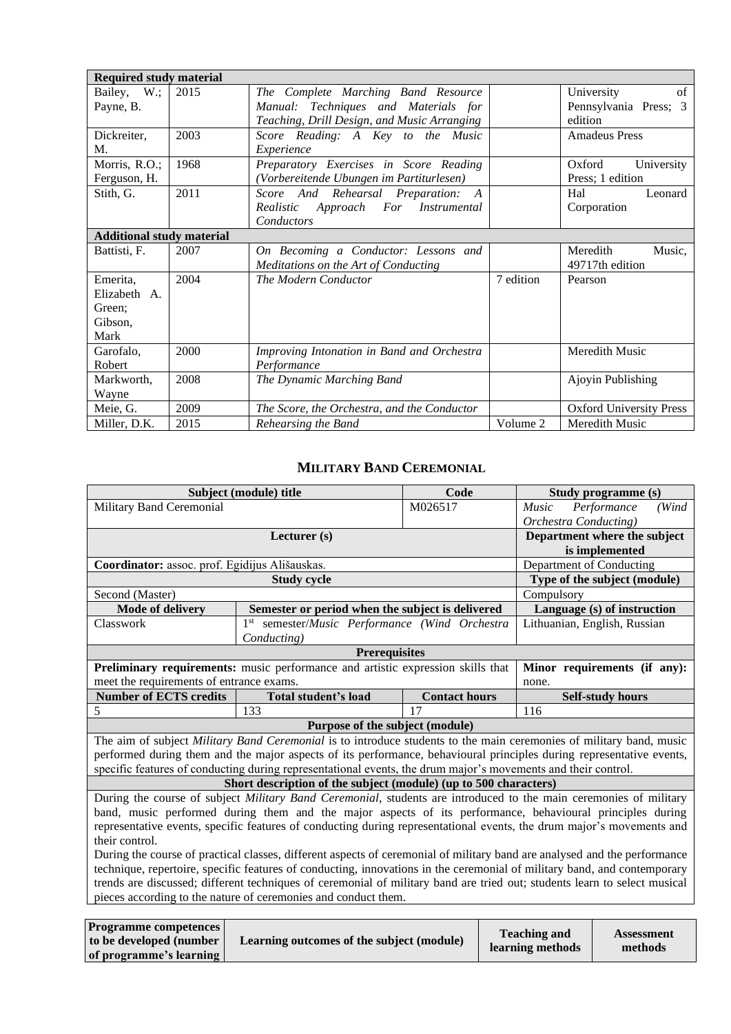| <b>Required study material</b>   |      |                                             |                       |                                |
|----------------------------------|------|---------------------------------------------|-----------------------|--------------------------------|
| Bailey, W.;                      | 2015 | The Complete Marching Band Resource         |                       | of<br>University               |
| Payne, B.                        |      | Manual: Techniques and Materials for        | Pennsylvania Press; 3 |                                |
|                                  |      | Teaching, Drill Design, and Music Arranging | edition               |                                |
| Dickreiter,                      | 2003 | Score Reading: A Key to the Music           |                       | <b>Amadeus Press</b>           |
| М.                               |      | Experience                                  |                       |                                |
| Morris, R.O.;                    | 1968 | Preparatory Exercises in Score Reading      |                       | Oxford<br>University           |
| Ferguson, H.                     |      | (Vorbereitende Ubungen im Partiturlesen)    |                       | Press; 1 edition               |
| Stith, G.                        | 2011 | Score And Rehearsal Preparation: A          |                       | Hal<br>Leonard                 |
|                                  |      | Realistic Approach For Instrumental         |                       | Corporation                    |
|                                  |      | Conductors                                  |                       |                                |
| <b>Additional study material</b> |      |                                             |                       |                                |
| Battisti, F.                     | 2007 | On Becoming a Conductor: Lessons and        |                       | Meredith<br>Music,             |
|                                  |      | Meditations on the Art of Conducting        |                       | 49717th edition                |
| Emerita,                         | 2004 | The Modern Conductor                        | 7 edition             | Pearson                        |
| Elizabeth A.                     |      |                                             |                       |                                |
| Green:                           |      |                                             |                       |                                |
| Gibson,                          |      |                                             |                       |                                |
| Mark                             |      |                                             |                       |                                |
| Garofalo,                        | 2000 | Improving Intonation in Band and Orchestra  |                       | Meredith Music                 |
| Robert                           |      | Performance                                 |                       |                                |
| Markworth,                       | 2008 | The Dynamic Marching Band                   |                       | Ajoyin Publishing              |
| Wayne                            |      |                                             |                       |                                |
| Meie, G.                         | 2009 | The Score, the Orchestra, and the Conductor |                       | <b>Oxford University Press</b> |
| Miller, D.K.                     | 2015 | Rehearsing the Band                         | Volume 2              | Meredith Music                 |

#### **MILITARY BAND CEREMONIAL**

<span id="page-7-0"></span>

| Subject (module) title<br>Code<br>Study programme (s)                                                                     |                                                                                                                           |                                                     |                          |                              |  |  |  |  |
|---------------------------------------------------------------------------------------------------------------------------|---------------------------------------------------------------------------------------------------------------------------|-----------------------------------------------------|--------------------------|------------------------------|--|--|--|--|
| <b>Military Band Ceremonial</b>                                                                                           |                                                                                                                           | M026517                                             | <b>Music</b>             | Performance<br>(Wind         |  |  |  |  |
|                                                                                                                           |                                                                                                                           |                                                     | Orchestra Conducting)    |                              |  |  |  |  |
|                                                                                                                           | Lecturer (s)                                                                                                              |                                                     |                          | Department where the subject |  |  |  |  |
|                                                                                                                           |                                                                                                                           |                                                     |                          | is implemented               |  |  |  |  |
| Coordinator: assoc. prof. Egidijus Ališauskas.                                                                            |                                                                                                                           |                                                     | Department of Conducting |                              |  |  |  |  |
|                                                                                                                           |                                                                                                                           | Type of the subject (module)                        |                          |                              |  |  |  |  |
| Second (Master)                                                                                                           |                                                                                                                           |                                                     | Compulsory               |                              |  |  |  |  |
| <b>Mode of delivery</b>                                                                                                   | Semester or period when the subject is delivered                                                                          |                                                     |                          | Language (s) of instruction  |  |  |  |  |
| Classwork                                                                                                                 | semester/Music Performance (Wind Orchestra<br>1 <sup>st</sup>                                                             |                                                     |                          | Lithuanian, English, Russian |  |  |  |  |
|                                                                                                                           | Conducting)                                                                                                               |                                                     |                          |                              |  |  |  |  |
|                                                                                                                           | <b>Prerequisites</b>                                                                                                      |                                                     |                          |                              |  |  |  |  |
|                                                                                                                           | Preliminary requirements: music performance and artistic expression skills that                                           |                                                     |                          | Minor requirements (if any): |  |  |  |  |
| meet the requirements of entrance exams.                                                                                  |                                                                                                                           |                                                     | none.                    |                              |  |  |  |  |
| <b>Number of ECTS credits</b>                                                                                             |                                                                                                                           | <b>Total student's load</b><br><b>Contact hours</b> |                          | <b>Self-study hours</b>      |  |  |  |  |
| 5                                                                                                                         | 133                                                                                                                       | 17                                                  | 116                      |                              |  |  |  |  |
|                                                                                                                           | Purpose of the subject (module)                                                                                           |                                                     |                          |                              |  |  |  |  |
|                                                                                                                           | The aim of subject Military Band Ceremonial is to introduce students to the main ceremonies of military band, music       |                                                     |                          |                              |  |  |  |  |
|                                                                                                                           | performed during them and the major aspects of its performance, behavioural principles during representative events,      |                                                     |                          |                              |  |  |  |  |
|                                                                                                                           | specific features of conducting during representational events, the drum major's movements and their control.             |                                                     |                          |                              |  |  |  |  |
|                                                                                                                           | Short description of the subject (module) (up to 500 characters)                                                          |                                                     |                          |                              |  |  |  |  |
|                                                                                                                           | During the course of subject Military Band Ceremonial, students are introduced to the main ceremonies of military         |                                                     |                          |                              |  |  |  |  |
|                                                                                                                           | band, music performed during them and the major aspects of its performance, behavioural principles during                 |                                                     |                          |                              |  |  |  |  |
|                                                                                                                           | representative events, specific features of conducting during representational events, the drum major's movements and     |                                                     |                          |                              |  |  |  |  |
|                                                                                                                           | their control.                                                                                                            |                                                     |                          |                              |  |  |  |  |
|                                                                                                                           | During the course of practical classes, different aspects of ceremonial of military band are analysed and the performance |                                                     |                          |                              |  |  |  |  |
| technique, repertoire, specific features of conducting, innovations in the ceremonial of military band, and contemporary  |                                                                                                                           |                                                     |                          |                              |  |  |  |  |
| trends are discussed; different techniques of ceremonial of military band are tried out; students learn to select musical |                                                                                                                           |                                                     |                          |                              |  |  |  |  |
|                                                                                                                           | pieces according to the nature of ceremonies and conduct them.                                                            |                                                     |                          |                              |  |  |  |  |
|                                                                                                                           |                                                                                                                           |                                                     |                          |                              |  |  |  |  |
| <b>Programme competences</b>                                                                                              |                                                                                                                           |                                                     | <b>Teaching and</b>      | <b>Assessment</b>            |  |  |  |  |
| to be developed (number                                                                                                   | Learning outcomes of the subject (module)                                                                                 |                                                     | learning methods         | mathode                      |  |  |  |  |

**learning methods**

**methods**

**of programme's learning**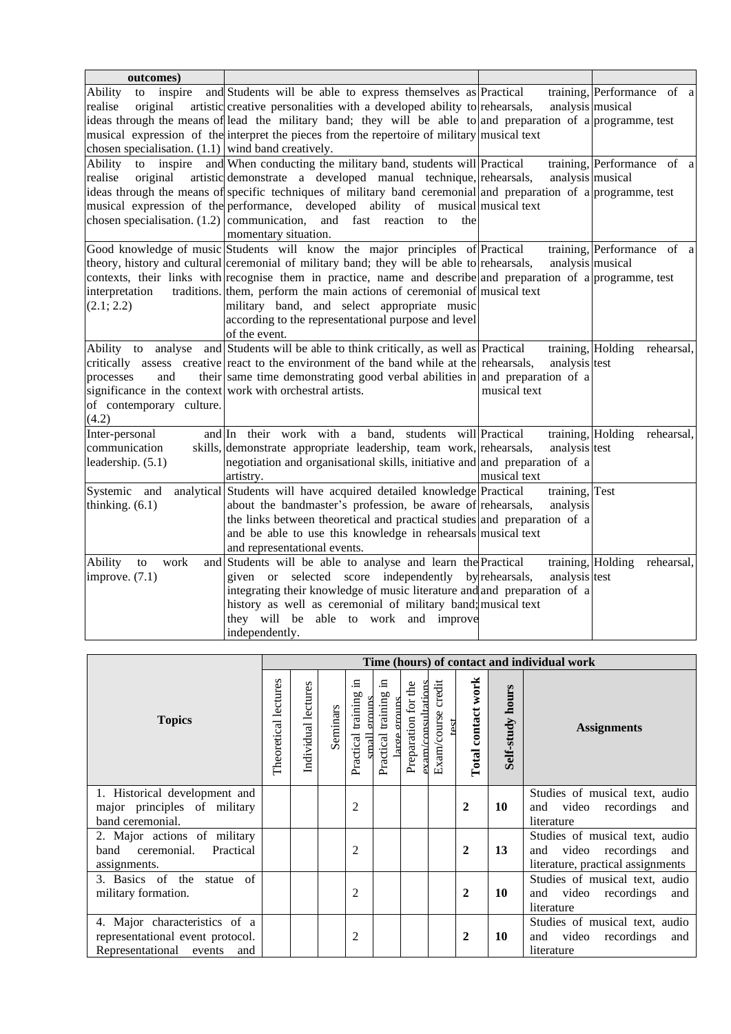| outcomes)                                                                     |                                                                                                                 |                   |                                 |
|-------------------------------------------------------------------------------|-----------------------------------------------------------------------------------------------------------------|-------------------|---------------------------------|
| inspire<br><b>Ability</b><br>to                                               | and Students will be able to express themselves as Practical                                                    |                   | training, Performance of a      |
| realise<br>original                                                           | artistic creative personalities with a developed ability to rehearsals,                                         | analysis musical  |                                 |
|                                                                               | ideas through the means of lead the military band; they will be able to and preparation of a programme, test    |                   |                                 |
|                                                                               | musical expression of the interpret the pieces from the repertoire of military musical text                     |                   |                                 |
| chosen specialisation. $(1.1)$ wind band creatively.                          |                                                                                                                 |                   |                                 |
| Ability<br>inspire<br>to                                                      | and When conducting the military band, students will Practical                                                  |                   | training, Performance of a      |
| realise                                                                       | original artistic demonstrate a developed manual technique, rehearsals,                                         | analysis musical  |                                 |
|                                                                               | ideas through the means of specific techniques of military band ceremonial and preparation of a programme, test |                   |                                 |
|                                                                               | musical expression of the performance, developed ability of musical musical text                                |                   |                                 |
| chosen specialisation. $(1.2)$ communication,                                 | and fast reaction<br>to<br>the                                                                                  |                   |                                 |
|                                                                               | momentary situation.                                                                                            |                   |                                 |
|                                                                               | Good knowledge of music Students will know the major principles of Practical                                    |                   | training, Performance of a      |
|                                                                               | theory, history and cultural ceremonial of military band; they will be able to rehearsals,                      | analysis musical  |                                 |
|                                                                               | contexts, their links with recognise them in practice, name and describe and preparation of a programme, test   |                   |                                 |
| interpretation                                                                | traditions. them, perform the main actions of ceremonial of musical text                                        |                   |                                 |
| (2.1; 2.2)                                                                    | military band, and select appropriate music                                                                     |                   |                                 |
|                                                                               | according to the representational purpose and level                                                             |                   |                                 |
|                                                                               | of the event.                                                                                                   |                   |                                 |
| Ability to<br>analyse                                                         | and Students will be able to think critically, as well as Practical                                             |                   | training, Holding<br>rehearsal, |
|                                                                               | critically assess creative react to the environment of the band while at the rehearsals,                        | analysis test     |                                 |
| and<br>processes<br>significance in the context work with orchestral artists. | their same time demonstrating good verbal abilities in and preparation of a                                     | musical text      |                                 |
| of contemporary culture.                                                      |                                                                                                                 |                   |                                 |
| (4.2)                                                                         |                                                                                                                 |                   |                                 |
| Inter-personal                                                                | and In their work with a band, students will Practical                                                          | training, Holding | rehearsal,                      |
| communication                                                                 | skills, demonstrate appropriate leadership, team work, rehearsals,                                              | analysis test     |                                 |
| leadership. (5.1)                                                             | negotiation and organisational skills, initiative and and preparation of a                                      |                   |                                 |
|                                                                               | artistry.                                                                                                       | musical text      |                                 |
| Systemic<br>and                                                               | analytical Students will have acquired detailed knowledge Practical                                             | training, Test    |                                 |
| thinking. $(6.1)$                                                             | about the bandmaster's profession, be aware of rehearsals,                                                      | analysis          |                                 |
|                                                                               | the links between theoretical and practical studies and preparation of a                                        |                   |                                 |
|                                                                               | and be able to use this knowledge in rehearsals musical text                                                    |                   |                                 |
|                                                                               | and representational events.                                                                                    |                   |                                 |
| Ability<br>work<br>to                                                         | and Students will be able to analyse and learn the Practical                                                    |                   | training, Holding<br>rehearsal, |
| improve. $(7.1)$                                                              | given or selected score independently by rehearsals,                                                            | analysis test     |                                 |
|                                                                               | integrating their knowledge of music literature and and preparation of a                                        |                   |                                 |
|                                                                               | history as well as ceremonial of military band; musical text                                                    |                   |                                 |
|                                                                               | they will be able to work and improve                                                                           |                   |                                 |
|                                                                               | independently.                                                                                                  |                   |                                 |

|                                                                                                        |                      |                     |          | Time (hours) of contact and individual work  |                                 |                                                 |                               |                    |                         |                                                                                                       |
|--------------------------------------------------------------------------------------------------------|----------------------|---------------------|----------|----------------------------------------------|---------------------------------|-------------------------------------------------|-------------------------------|--------------------|-------------------------|-------------------------------------------------------------------------------------------------------|
| <b>Topics</b>                                                                                          | Theoretical lectures | Individual lectures | Seminars | Ξ<br>training<br>ornins<br>Practical<br>Ilem | Ξ.<br>Practical training<br>ee. | the<br>axam/consultations<br>for<br>Preparation | credit<br>Exam/course<br>test | Total contact work | <b>Self-study hours</b> | <b>Assignments</b>                                                                                    |
| 1. Historical development and<br>major principles of military<br>band ceremonial.                      |                      |                     |          | 2                                            |                                 |                                                 |                               | $\mathbf{2}$       | <b>10</b>               | Studies of musical text, audio<br>and video<br>recordings<br>and<br>literature                        |
| 2. Major actions of military<br>ceremonial.<br>Practical<br>band<br>assignments.                       |                      |                     |          | $\overline{c}$                               |                                 |                                                 |                               | $\mathbf{2}$       | 13                      | Studies of musical text, audio<br>video recordings<br>and<br>and<br>literature, practical assignments |
| 3. Basics of the<br>statue of<br>military formation.                                                   |                      |                     |          | $\overline{c}$                               |                                 |                                                 |                               | $\mathbf 2$        | <b>10</b>               | Studies of musical text, audio<br>and video<br>recordings<br>and<br>literature                        |
| 4. Major characteristics of a<br>representational event protocol.<br>Representational<br>events<br>and |                      |                     |          | $\overline{c}$                               |                                 |                                                 |                               | $\mathbf{2}$       | 10                      | Studies of musical text, audio<br>video<br>and<br>recordings<br>and<br>literature                     |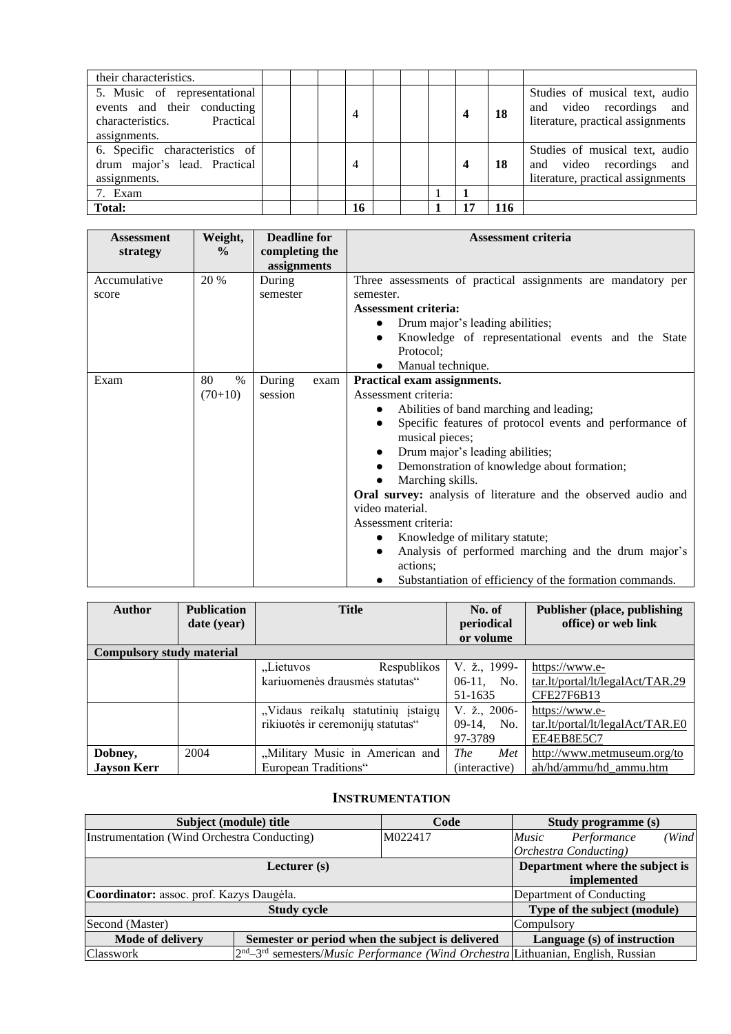| their characteristics.                                                                                    |  |    |  |   |           |                                                                                                 |
|-----------------------------------------------------------------------------------------------------------|--|----|--|---|-----------|-------------------------------------------------------------------------------------------------|
| 5. Music of representational<br>events and their conducting<br>characteristics. Practical<br>assignments. |  |    |  | 4 | <b>18</b> | Studies of musical text, audio<br>and video recordings and<br>literature, practical assignments |
| 6. Specific characteristics of<br>drum major's lead. Practical<br>assignments.                            |  |    |  | 4 | 18        | Studies of musical text, audio<br>and video recordings and<br>literature, practical assignments |
| 7. Exam                                                                                                   |  |    |  |   |           |                                                                                                 |
| Total:                                                                                                    |  | 16 |  | 7 | 116       |                                                                                                 |

| <b>Assessment</b> | Weight,       | <b>Deadline for</b> | <b>Assessment criteria</b>                                      |  |  |
|-------------------|---------------|---------------------|-----------------------------------------------------------------|--|--|
| strategy          | $\frac{0}{0}$ | completing the      |                                                                 |  |  |
|                   |               | assignments         |                                                                 |  |  |
| Accumulative      | 20 %          | During              | Three assessments of practical assignments are mandatory per    |  |  |
| score             |               | semester            | semester.                                                       |  |  |
|                   |               |                     | <b>Assessment criteria:</b>                                     |  |  |
|                   |               |                     | Drum major's leading abilities;<br>$\bullet$                    |  |  |
|                   |               |                     | Knowledge of representational events and the State<br>$\bullet$ |  |  |
|                   |               |                     | Protocol;                                                       |  |  |
|                   |               |                     | Manual technique.<br>$\bullet$                                  |  |  |
| Exam              | 80<br>$\%$    | During<br>exam      | Practical exam assignments.                                     |  |  |
|                   | $(70+10)$     | session             | Assessment criteria:                                            |  |  |
|                   |               |                     | Abilities of band marching and leading;<br>$\bullet$            |  |  |
|                   |               |                     | Specific features of protocol events and performance of         |  |  |
|                   |               |                     | musical pieces;                                                 |  |  |
|                   |               |                     | Drum major's leading abilities;<br>$\bullet$                    |  |  |
|                   |               |                     | Demonstration of knowledge about formation;                     |  |  |
|                   |               |                     | Marching skills.                                                |  |  |
|                   |               |                     | Oral survey: analysis of literature and the observed audio and  |  |  |
|                   |               |                     | video material.                                                 |  |  |
|                   |               |                     | Assessment criteria:                                            |  |  |
|                   |               |                     | Knowledge of military statute;                                  |  |  |
|                   |               |                     | Analysis of performed marching and the drum major's             |  |  |
|                   |               |                     | actions:                                                        |  |  |
|                   |               |                     | Substantiation of efficiency of the formation commands.         |  |  |

| <b>Author</b>             | <b>Publication</b><br>date (year) | <b>Title</b>                       | No. of<br>periodical<br>or volume | <b>Publisher (place, publishing)</b><br>office) or web link |
|---------------------------|-----------------------------------|------------------------------------|-----------------------------------|-------------------------------------------------------------|
| Compulsory study material |                                   |                                    |                                   |                                                             |
|                           |                                   | Respublikos<br>"Lietuvos           | V. ž., 1999-                      | https://www.e-                                              |
|                           |                                   | kariuomenės drausmės statutas"     | $06-11$ , No.                     | tar.lt/portal/lt/legalAct/TAR.29                            |
|                           |                                   |                                    | 51-1635                           | CFE27F6B13                                                  |
|                           |                                   | "Vidaus reikalų statutinių įstaigų | V. $\check{z}$ ., 2006-           | https://www.e-                                              |
|                           |                                   | rikiuotės ir ceremonijų statutas"  | $09-14$ ,<br>No.                  | tar.lt/portal/lt/legalAct/TAR.E0                            |
|                           |                                   |                                    | 97-3789                           | EE4EB8E5C7                                                  |
| Dobney,                   | 2004                              | "Military Music in American and    | <i>The</i><br>Met                 | http://www.metmuseum.org/to                                 |
| <b>Jayson Kerr</b>        |                                   | European Traditions"               | (interactive)                     | ah/hd/ammu/hd ammu.htm                                      |

### **INSTRUMENTATION**

<span id="page-9-0"></span>

|                                             | Subject (module) title                           | Code                                                                                                              | Study programme (s)                  |
|---------------------------------------------|--------------------------------------------------|-------------------------------------------------------------------------------------------------------------------|--------------------------------------|
| Instrumentation (Wind Orchestra Conducting) |                                                  | M022417                                                                                                           | (Wind<br>Performance<br><i>Music</i> |
|                                             |                                                  |                                                                                                                   | <b>Orchestra Conducting</b> )        |
|                                             | Department where the subject is                  |                                                                                                                   |                                      |
|                                             | implemented                                      |                                                                                                                   |                                      |
| Coordinator: assoc. prof. Kazys Daugėla.    |                                                  | Department of Conducting                                                                                          |                                      |
|                                             | <b>Study cycle</b>                               |                                                                                                                   | Type of the subject (module)         |
| Second (Master)                             | Compulsory                                       |                                                                                                                   |                                      |
| Mode of delivery                            | Semester or period when the subject is delivered | Language (s) of instruction                                                                                       |                                      |
| Classwork                                   |                                                  | 2 <sup>nd</sup> –3 <sup>rd</sup> semesters/ <i>Music Performance (Wind Orchestra</i> Lithuanian, English, Russian |                                      |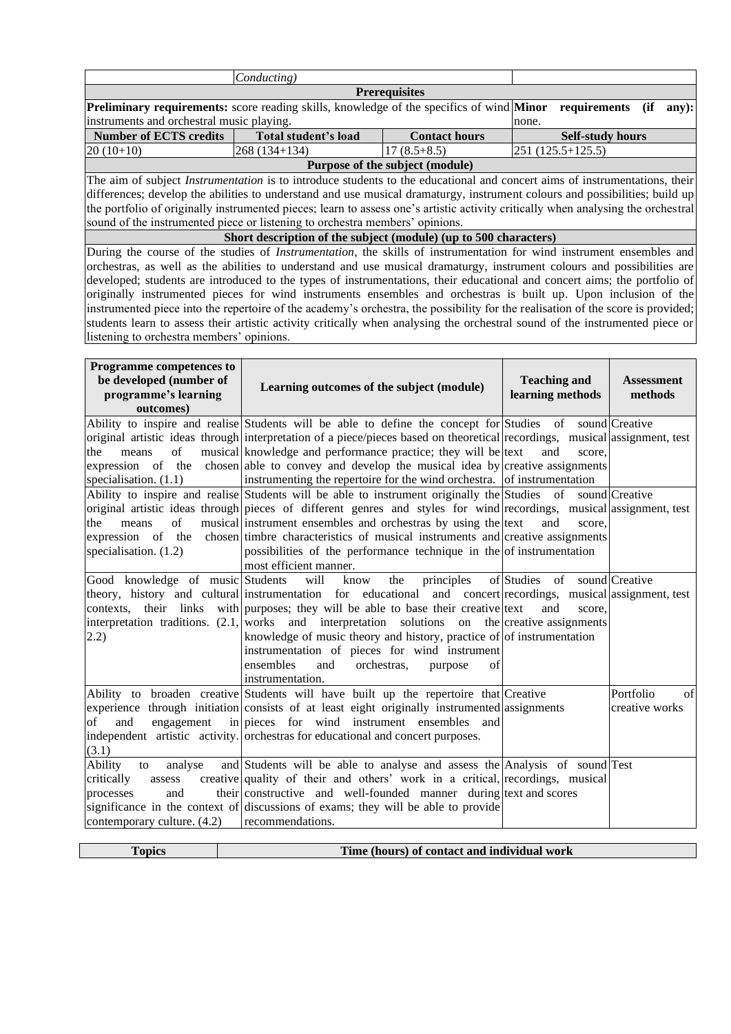| <b>Prerequisites</b>                                                                                                    |                                                     |         |  |  |  |  |
|-------------------------------------------------------------------------------------------------------------------------|-----------------------------------------------------|---------|--|--|--|--|
| <b>Preliminary requirements:</b> score reading skills, knowledge of the specifics of wind <b>Minor</b> requirements (if |                                                     | $anv$ : |  |  |  |  |
| instruments and orchestral music playing.                                                                               |                                                     | none.   |  |  |  |  |
| <b>Number of ECTS credits</b>                                                                                           | <b>Total student's load</b><br><b>Contact hours</b> |         |  |  |  |  |
| $\left( \frac{251}{125.5} + \frac{125.5}{125.5} \right)$<br>$ 20(10+10) $<br>$268(134+134)$<br>$17(8.5+8.5)$            |                                                     |         |  |  |  |  |
| Purpose of the subject (module)                                                                                         |                                                     |         |  |  |  |  |

The aim of subject *Instrumentation* is to introduce students to the educational and concert aims of instrumentations, their differences; develop the abilities to understand and use musical dramaturgy, instrument colours and possibilities; build up the portfolio of originally instrumented pieces; learn to assess one's artistic activity critically when analysing the orchestral sound of the instrumented piece or listening to orchestra members' opinions.

**Short description of the subject (module) (up to 500 characters)**

During the course of the studies of *Instrumentation*, the skills of instrumentation for wind instrument ensembles and orchestras, as well as the abilities to understand and use musical dramaturgy, instrument colours and possibilities are developed; students are introduced to the types of instrumentations, their educational and concert aims; the portfolio of originally instrumented pieces for wind instruments ensembles and orchestras is built up*.* Upon inclusion of the instrumented piece into the repertoire of the academy's orchestra, the possibility for the realisation of the score is provided; students learn to assess their artistic activity critically when analysing the orchestral sound of the instrumented piece or listening to orchestra members' opinions.

| <b>Programme competences to</b><br>be developed (number of<br>programme's learning<br>outcomes) | Learning outcomes of the subject (module)                                                                                  | <b>Teaching and</b><br>learning methods | <b>Assessment</b><br>methods |
|-------------------------------------------------------------------------------------------------|----------------------------------------------------------------------------------------------------------------------------|-----------------------------------------|------------------------------|
|                                                                                                 | Ability to inspire and realise Students will be able to define the concept for Studies of sound Creative                   |                                         |                              |
|                                                                                                 | original artistic ideas through interpretation of a piece/pieces based on theoretical recordings, musical assignment, test |                                         |                              |
| of<br>the<br>means                                                                              | musical knowledge and performance practice; they will be text                                                              | and<br>score.                           |                              |
|                                                                                                 | expression of the chosen able to convey and develop the musical idea by creative assignments                               |                                         |                              |
| specialisation. $(1.1)$                                                                         | instrumenting the repertoire for the wind orchestra. of instrumentation                                                    |                                         |                              |
|                                                                                                 | Ability to inspire and realise Students will be able to instrument originally the Studies of                               |                                         | sound Creative               |
|                                                                                                 | original artistic ideas through pieces of different genres and styles for wind recordings, musical assignment, test        |                                         |                              |
| of<br>the<br>means                                                                              | musical instrument ensembles and orchestras by using the text                                                              | and<br>score.                           |                              |
|                                                                                                 | expression of the chosen timbre characteristics of musical instruments and creative assignments                            |                                         |                              |
| specialisation. $(1.2)$                                                                         | possibilities of the performance technique in the of instrumentation                                                       |                                         |                              |
|                                                                                                 | most efficient manner.                                                                                                     |                                         |                              |
| Good knowledge of music Students will                                                           | the<br>know<br>principles                                                                                                  | of Studies of sound Creative            |                              |
|                                                                                                 | theory, history and cultural instrumentation for educational and concert recordings, musical assignment, test              |                                         |                              |
|                                                                                                 | contexts, their links with purposes; they will be able to base their creative text                                         | and<br>score,                           |                              |
|                                                                                                 | interpretation traditions. $(2.1)$ works and interpretation solutions on the creative assignments                          |                                         |                              |
| 2.2)                                                                                            | knowledge of music theory and history, practice of of instrumentation                                                      |                                         |                              |
|                                                                                                 | instrumentation of pieces for wind instrument                                                                              |                                         |                              |
|                                                                                                 | ensembles<br>orchestras,<br>and<br>of<br>purpose                                                                           |                                         |                              |
|                                                                                                 | instrumentation.                                                                                                           |                                         |                              |
|                                                                                                 | Ability to broaden creative Students will have built up the repertoire that Creative                                       |                                         | Portfolio<br>of              |
|                                                                                                 | experience through initiation consists of at least eight originally instrumented assignments                               |                                         | creative works               |
| and<br>of                                                                                       | engagement in pieces for wind instrument ensembles and                                                                     |                                         |                              |
|                                                                                                 | independent artistic activity. orchestras for educational and concert purposes.                                            |                                         |                              |
| (3.1)                                                                                           |                                                                                                                            |                                         |                              |
| Ability<br>analyse<br>to                                                                        | and Students will be able to analyse and assess the Analysis of sound Test                                                 |                                         |                              |
| critically<br>assess                                                                            | creative quality of their and others' work in a critical, recordings, musical                                              |                                         |                              |
| processes<br>and                                                                                | their constructive and well-founded manner during text and scores                                                          |                                         |                              |
|                                                                                                 | significance in the context of discussions of exams; they will be able to provide                                          |                                         |                              |
| contemporary culture. $(4.2)$                                                                   | recommendations.                                                                                                           |                                         |                              |

| opics | Time (hours) of contact and individual work |
|-------|---------------------------------------------|
|       |                                             |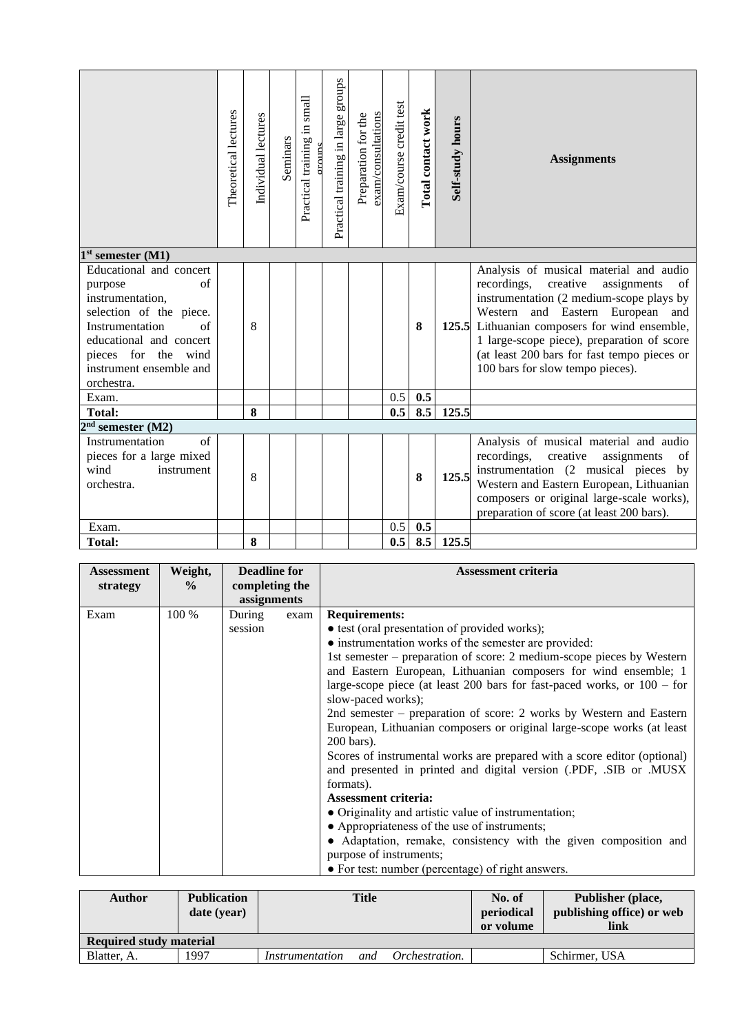|                                                                                                                                                                                                                     | Theoretical lectures | Individual lectures | Seminars | Practical training in small<br>moune | Practical training in large groups | exam/consultations<br>Preparation for the | Exam/course credit test | Total contact work | Self-study hours | <b>Assignments</b>                                                                                                                                                                                                                                                                                                                                          |
|---------------------------------------------------------------------------------------------------------------------------------------------------------------------------------------------------------------------|----------------------|---------------------|----------|--------------------------------------|------------------------------------|-------------------------------------------|-------------------------|--------------------|------------------|-------------------------------------------------------------------------------------------------------------------------------------------------------------------------------------------------------------------------------------------------------------------------------------------------------------------------------------------------------------|
| $1st$ semester $(M1)$                                                                                                                                                                                               |                      |                     |          |                                      |                                    |                                           |                         |                    |                  |                                                                                                                                                                                                                                                                                                                                                             |
| Educational and concert<br>$\sigma$ f<br>purpose<br>instrumentation,<br>selection of the piece.<br>Instrumentation<br>of<br>educational and concert<br>pieces for the wind<br>instrument ensemble and<br>orchestra. |                      | 8                   |          |                                      |                                    |                                           |                         | 8                  |                  | Analysis of musical material and audio<br>recordings,<br>creative<br>assignments<br>of<br>instrumentation (2 medium-scope plays by<br>Western and Eastern European<br>and<br>125.5 Lithuanian composers for wind ensemble,<br>1 large-scope piece), preparation of score<br>(at least 200 bars for fast tempo pieces or<br>100 bars for slow tempo pieces). |
| Exam.                                                                                                                                                                                                               |                      |                     |          |                                      |                                    |                                           | 0.5                     | 0.5                |                  |                                                                                                                                                                                                                                                                                                                                                             |
| Total:                                                                                                                                                                                                              |                      | 8                   |          |                                      |                                    |                                           | 0.5                     | 8.5                | 125.5            |                                                                                                                                                                                                                                                                                                                                                             |
| $2nd$ semester (M2)                                                                                                                                                                                                 |                      |                     |          |                                      |                                    |                                           |                         |                    |                  |                                                                                                                                                                                                                                                                                                                                                             |
| of<br>Instrumentation<br>pieces for a large mixed<br>wind<br>instrument<br>orchestra.                                                                                                                               |                      | 8                   |          |                                      |                                    |                                           |                         | 8                  | 125.5            | Analysis of musical material and audio<br>recordings,<br>creative<br>assignments<br>of<br>instrumentation (2 musical pieces<br>by<br>Western and Eastern European, Lithuanian<br>composers or original large-scale works),<br>preparation of score (at least 200 bars).                                                                                     |
| Exam.                                                                                                                                                                                                               |                      |                     |          |                                      |                                    |                                           | 0.5                     | 0.5                |                  |                                                                                                                                                                                                                                                                                                                                                             |
| <b>Total:</b>                                                                                                                                                                                                       |                      | 8                   |          |                                      |                                    |                                           | 0.5                     | 8.5                | 125.5            |                                                                                                                                                                                                                                                                                                                                                             |

| <b>Assessment</b> | Weight,       | <b>Deadline for</b> |      | <b>Assessment criteria</b>                                                                                                                                                                                                                                                                                                                              |
|-------------------|---------------|---------------------|------|---------------------------------------------------------------------------------------------------------------------------------------------------------------------------------------------------------------------------------------------------------------------------------------------------------------------------------------------------------|
| strategy          | $\frac{0}{0}$ | completing the      |      |                                                                                                                                                                                                                                                                                                                                                         |
|                   |               | assignments         |      |                                                                                                                                                                                                                                                                                                                                                         |
| Exam              | 100 %         | During<br>session   | exam | <b>Requirements:</b><br>• test (oral presentation of provided works);<br>• instrumentation works of the semester are provided:<br>1st semester – preparation of score: 2 medium-scope pieces by Western<br>and Eastern European, Lithuanian composers for wind ensemble; 1<br>large-scope piece (at least 200 bars for fast-paced works, or $100 -$ for |
|                   |               |                     |      | slow-paced works);<br>2nd semester – preparation of score: 2 works by Western and Eastern<br>European, Lithuanian composers or original large-scope works (at least<br>200 bars).<br>Scores of instrumental works are prepared with a score editor (optional)<br>and presented in printed and digital version (PDF, SIB or .MUSX<br>formats).           |
|                   |               |                     |      | <b>Assessment criteria:</b><br>• Originality and artistic value of instrumentation;<br>• Appropriateness of the use of instruments;<br>• Adaptation, remake, consistency with the given composition and<br>purpose of instruments;<br>• For test: number (percentage) of right answers.                                                                 |

| Author                         | <b>Publication</b><br>date (year) |                 | <b>Title</b> |                | No. of<br>periodical<br>or volume | Publisher (place,<br>publishing office) or web<br>link |
|--------------------------------|-----------------------------------|-----------------|--------------|----------------|-----------------------------------|--------------------------------------------------------|
| <b>Required study material</b> |                                   |                 |              |                |                                   |                                                        |
| Blatter, A.                    | 1997                              | Instrumentation | and          | Orchestration. |                                   | Schirmer, USA                                          |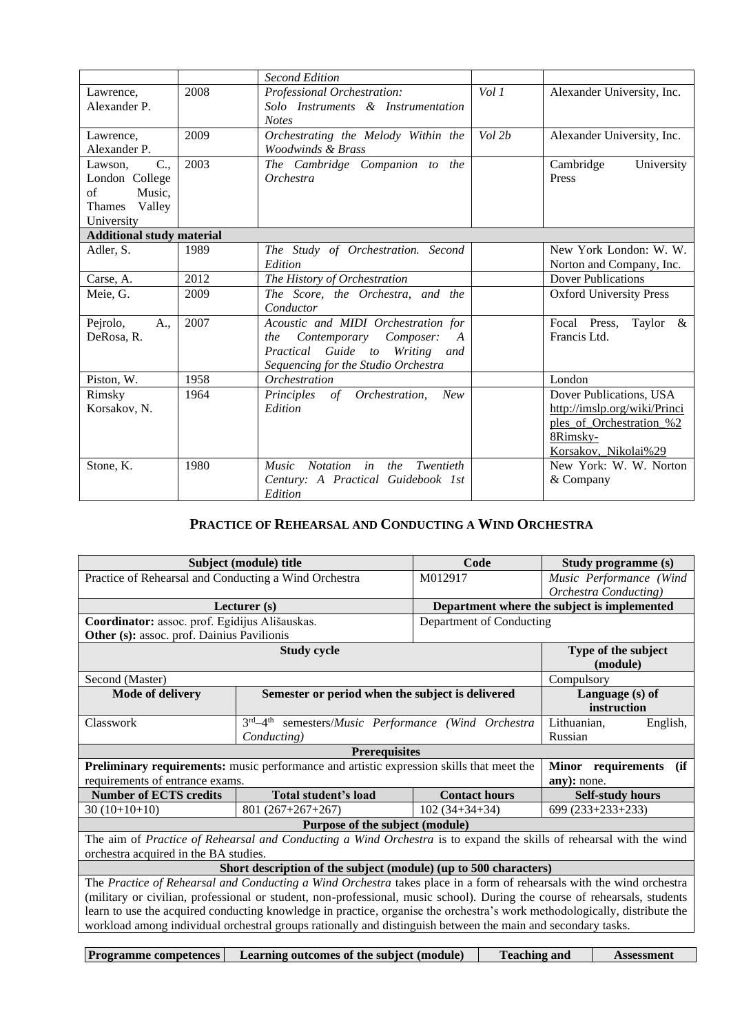|                                  |      | <b>Second Edition</b>                                     |        |                                |
|----------------------------------|------|-----------------------------------------------------------|--------|--------------------------------|
| Lawrence,                        | 2008 | Professional Orchestration:                               | Vol 1  | Alexander University, Inc.     |
| Alexander P.                     |      | Solo Instruments & Instrumentation                        |        |                                |
|                                  |      | <b>Notes</b>                                              |        |                                |
| Lawrence,                        | 2009 | Orchestrating the Melody Within the                       | Vol 2b | Alexander University, Inc.     |
| Alexander P.                     |      | Woodwinds & Brass                                         |        |                                |
| $C_{\cdot\cdot}$<br>Lawson,      | 2003 | The Cambridge Companion to the                            |        | Cambridge<br>University        |
| London College                   |      | <b>Orchestra</b>                                          |        | Press                          |
| of<br>Music,                     |      |                                                           |        |                                |
| Valley<br>Thames                 |      |                                                           |        |                                |
| University                       |      |                                                           |        |                                |
| <b>Additional study material</b> |      |                                                           |        |                                |
| Adler, S.                        | 1989 | The Study of Orchestration. Second                        |        | New York London: W. W.         |
|                                  |      | Edition                                                   |        | Norton and Company, Inc.       |
| Carse, A.                        | 2012 | The History of Orchestration                              |        | <b>Dover Publications</b>      |
| Meie. G.                         | 2009 | The Score, the Orchestra, and the                         |        | <b>Oxford University Press</b> |
|                                  |      | Conductor                                                 |        |                                |
| Pejrolo,<br>A.,                  | 2007 | Acoustic and MIDI Orchestration for                       |        | Focal Press,<br>Taylor $\&$    |
| DeRosa, R.                       |      | Contemporary Composer:<br><i>the</i><br>$\boldsymbol{A}$  |        | Francis Ltd.                   |
|                                  |      | Practical Guide to Writing<br>and                         |        |                                |
|                                  |      | Sequencing for the Studio Orchestra                       |        |                                |
| Piston, W.                       | 1958 | <b>Orchestration</b>                                      |        | London                         |
| Rimsky                           | 1964 | of Orchestration,<br>New<br>Principles                    |        | Dover Publications, USA        |
| Korsakov, N.                     |      | Edition                                                   |        | http://imslp.org/wiki/Princi   |
|                                  |      |                                                           |        | ples_of_Orchestration_%2       |
|                                  |      |                                                           |        | 8Rimsky-                       |
|                                  |      |                                                           |        | Korsakov, Nikolai%29           |
| Stone, K.                        | 1980 | in<br><i>Music</i><br><b>Notation</b><br>Twentieth<br>the |        | New York: W. W. Norton         |
|                                  |      | Century: A Practical Guidebook 1st                        |        | & Company                      |
|                                  |      | Edition                                                   |        |                                |

## **PRACTICE OF REHEARSAL AND CONDUCTING A WIND ORCHESTRA**

<span id="page-12-0"></span>

|                                                       | Subject (module) title                                                                                                     | Code                     | Study programme (s)                         |  |  |
|-------------------------------------------------------|----------------------------------------------------------------------------------------------------------------------------|--------------------------|---------------------------------------------|--|--|
| Practice of Rehearsal and Conducting a Wind Orchestra |                                                                                                                            | M012917                  | Music Performance (Wind                     |  |  |
|                                                       |                                                                                                                            |                          | Orchestra Conducting)                       |  |  |
|                                                       | Lecturer (s)                                                                                                               |                          | Department where the subject is implemented |  |  |
| Coordinator: assoc. prof. Egidijus Ališauskas.        |                                                                                                                            | Department of Conducting |                                             |  |  |
| Other (s): assoc. prof. Dainius Pavilionis            |                                                                                                                            |                          |                                             |  |  |
|                                                       | <b>Study cycle</b>                                                                                                         |                          | Type of the subject                         |  |  |
|                                                       |                                                                                                                            |                          | (module)                                    |  |  |
| Second (Master)                                       |                                                                                                                            |                          | Compulsory                                  |  |  |
| <b>Mode of delivery</b>                               | Semester or period when the subject is delivered                                                                           |                          | Language (s) of                             |  |  |
|                                                       |                                                                                                                            |                          | instruction                                 |  |  |
| Classwork                                             | $3rd-4th$<br>semesters/Music Performance (Wind Orchestra                                                                   |                          | Lithuanian,<br>English,                     |  |  |
|                                                       | Conducting)                                                                                                                |                          | Russian                                     |  |  |
|                                                       | <b>Prerequisites</b>                                                                                                       |                          |                                             |  |  |
|                                                       | <b>Preliminary requirements:</b> music performance and artistic expression skills that meet the                            |                          | Minor requirements<br>(ii)                  |  |  |
| requirements of entrance exams.                       |                                                                                                                            |                          | any): none.                                 |  |  |
| <b>Number of ECTS credits</b>                         | Total student's load                                                                                                       | <b>Contact hours</b>     | <b>Self-study hours</b>                     |  |  |
| $30(10+10+10)$                                        | $801(267+267+267)$                                                                                                         | $102(34+34+34)$          | 699 (233+233+233)                           |  |  |
|                                                       | Purpose of the subject (module)                                                                                            |                          |                                             |  |  |
|                                                       | The aim of Practice of Rehearsal and Conducting a Wind Orchestra is to expand the skills of rehearsal with the wind        |                          |                                             |  |  |
| orchestra acquired in the BA studies.                 |                                                                                                                            |                          |                                             |  |  |
|                                                       | Short description of the subject (module) (up to 500 characters)                                                           |                          |                                             |  |  |
|                                                       | The Practice of Rehearsal and Conducting a Wind Orchestra takes place in a form of rehearsals with the wind orchestra      |                          |                                             |  |  |
|                                                       | (military or civilian, professional or student, non-professional, music school). During the course of rehearsals, students |                          |                                             |  |  |
|                                                       | learn to use the acquired conducting knowledge in practice, organise the orchestra's work methodologically, distribute the |                          |                                             |  |  |
|                                                       | workload among individual orchestral groups rationally and distinguish between the main and secondary tasks.               |                          |                                             |  |  |
|                                                       |                                                                                                                            |                          |                                             |  |  |

**Programme competences** Learning outcomes of the subject (module) Teaching and Assessment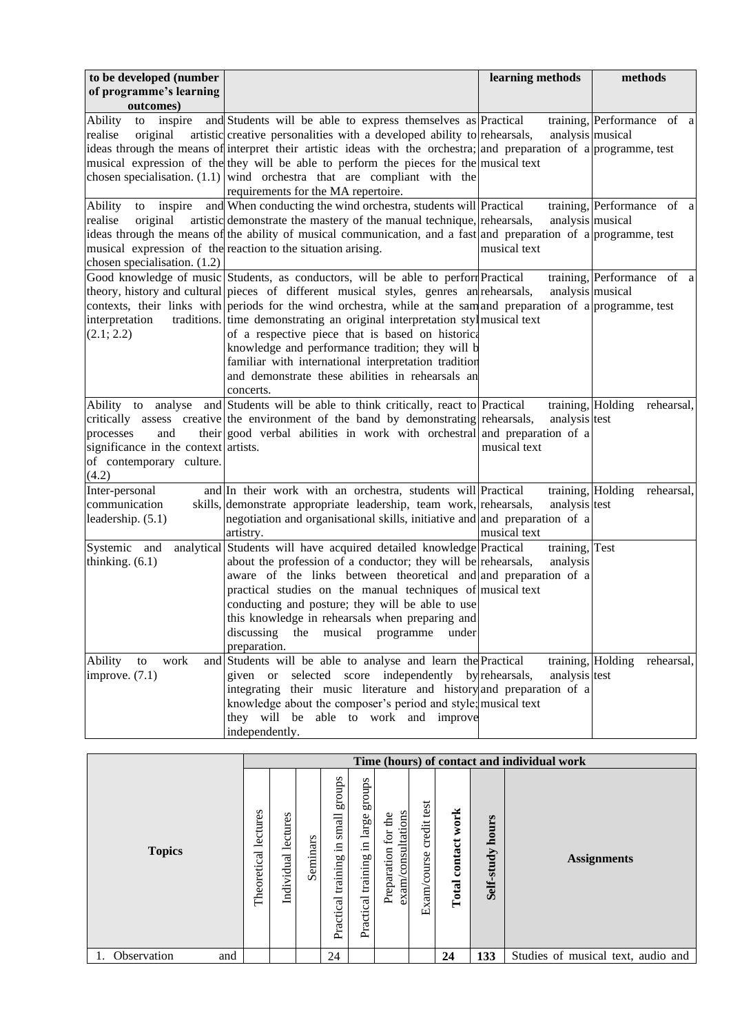| to be developed (number                                                                                                |                                                                                                                                                                                                                                                                                                                                                                                                                                                                                                                                                                                                                  | learning methods                                   | methods                         |
|------------------------------------------------------------------------------------------------------------------------|------------------------------------------------------------------------------------------------------------------------------------------------------------------------------------------------------------------------------------------------------------------------------------------------------------------------------------------------------------------------------------------------------------------------------------------------------------------------------------------------------------------------------------------------------------------------------------------------------------------|----------------------------------------------------|---------------------------------|
| of programme's learning                                                                                                |                                                                                                                                                                                                                                                                                                                                                                                                                                                                                                                                                                                                                  |                                                    |                                 |
| outcomes)                                                                                                              |                                                                                                                                                                                                                                                                                                                                                                                                                                                                                                                                                                                                                  |                                                    |                                 |
| Ability<br>inspire<br>to<br>realise<br>original                                                                        | and Students will be able to express themselves as Practical<br>artistic creative personalities with a developed ability to rehearsals,<br>ideas through the means of interpret their artistic ideas with the orchestra; and preparation of a programme, test<br>musical expression of the they will be able to perform the pieces for the musical text<br>chosen specialisation. $(1.1)$ wind orchestra that are compliant with the<br>requirements for the MA repertoire.                                                                                                                                      | analysis musical                                   | training, Performance of a      |
| <b>Ability</b><br>inspire<br>to<br>realise<br>original<br>chosen specialisation. (1.2)                                 | and When conducting the wind orchestra, students will Practical<br>artistic demonstrate the mastery of the manual technique, rehearsals,<br>ideas through the means of the ability of musical communication, and a fast and preparation of a programme, test<br>musical expression of the reaction to the situation arising.                                                                                                                                                                                                                                                                                     | analysis musical<br>musical text                   | training, Performance of a      |
| interpretation<br>(2.1; 2.2)                                                                                           | Good knowledge of music Students, as conductors, will be able to perform Practical<br>theory, history and cultural pieces of different musical styles, genres and rehearsals,<br>contexts, their links with periods for the wind orchestra, while at the sam and preparation of a programme, test<br>traditions. time demonstrating an original interpretation stylmusical text<br>of a respective piece that is based on historica<br>knowledge and performance tradition; they will b<br>familiar with international interpretation tradition<br>and demonstrate these abilities in rehearsals an<br>concerts. | analysis musical                                   | training, Performance of a      |
| Ability to<br>analyse<br>processes<br>and<br>significance in the context artists.<br>of contemporary culture.<br>(4.2) | and Students will be able to think critically, react to Practical<br>critically assess creative the environment of the band by demonstrating rehearsals,<br>their good verbal abilities in work with orchestral and preparation of a                                                                                                                                                                                                                                                                                                                                                                             | training, Holding<br>analysis test<br>musical text | rehearsal,                      |
| Inter-personal<br>communication<br>leadership. (5.1)                                                                   | and In their work with an orchestra, students will Practical<br>skills, demonstrate appropriate leadership, team work, rehearsals,<br>negotiation and organisational skills, initiative and and preparation of a<br>artistry.                                                                                                                                                                                                                                                                                                                                                                                    | training, Holding<br>analysis test<br>musical text | rehearsal,                      |
| Systemic and<br>thinking. $(6.1)$                                                                                      | analytical Students will have acquired detailed knowledge Practical<br>about the profession of a conductor; they will be rehearsals,<br>aware of the links between theoretical and and preparation of a<br>practical studies on the manual techniques of musical text<br>conducting and posture; they will be able to use<br>this knowledge in rehearsals when preparing and<br>discussing<br>the<br>musical programme<br>under<br>preparation.                                                                                                                                                                  | training, Test<br>analysis                         |                                 |
| Ability<br>work<br>to<br>improve. $(7.1)$                                                                              | and Students will be able to analyse and learn the Practical<br>given or selected score independently by rehearsals,<br>integrating their music literature and history and preparation of a<br>knowledge about the composer's period and style; musical text<br>they will be able to work and improve<br>independently.                                                                                                                                                                                                                                                                                          | analysis test                                      | training, Holding<br>rehearsal, |

|                    |                         |                        |          |                                                |                                                |                                                 |                               |                          |                     | Time (hours) of contact and individual work |
|--------------------|-------------------------|------------------------|----------|------------------------------------------------|------------------------------------------------|-------------------------------------------------|-------------------------------|--------------------------|---------------------|---------------------------------------------|
| <b>Topics</b>      | lectures<br>Theoretical | lectures<br>Individual | Seminars | groups<br>small<br>크.<br>training<br>Practical | sdnorg<br>large<br>묘.<br>training<br>Practical | exam/consultations<br>the<br>for<br>Preparation | test<br>credit<br>Exam/course | work<br>contact<br>Total | hours<br>Self-study | <b>Assignments</b>                          |
| Observation<br>and |                         |                        |          | 24                                             |                                                |                                                 |                               | 24                       | 133                 | Studies of musical text, audio and          |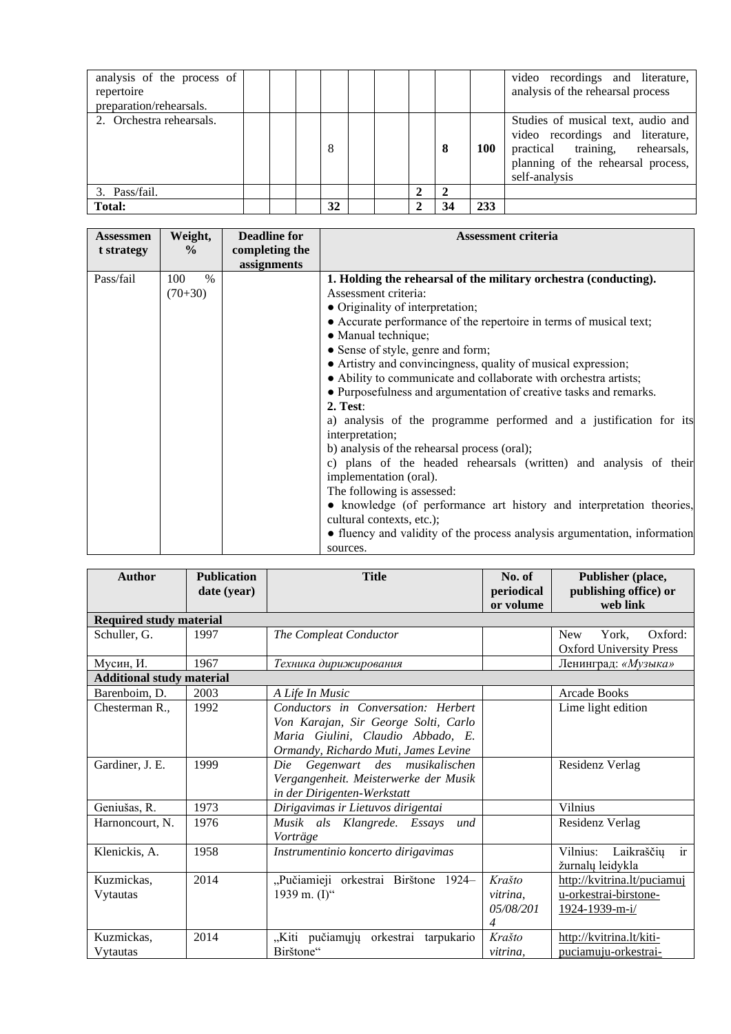| analysis of the process of<br>repertoire<br>preparation/rehearsals. |  |    |  |    |            | video recordings and literature,<br>analysis of the rehearsal process                                                                                            |
|---------------------------------------------------------------------|--|----|--|----|------------|------------------------------------------------------------------------------------------------------------------------------------------------------------------|
| 2. Orchestra rehearsals.                                            |  | 8  |  | 8  | <b>100</b> | Studies of musical text, audio and<br>video recordings and literature,<br>practical training, rehearsals,<br>planning of the rehearsal process,<br>self-analysis |
| 3. Pass/fail.                                                       |  |    |  |    |            |                                                                                                                                                                  |
| <b>Total:</b>                                                       |  | 32 |  | 34 | 233        |                                                                                                                                                                  |

| Assessmen  | Weight,       | <b>Deadline for</b> | <b>Assessment criteria</b>                                                |
|------------|---------------|---------------------|---------------------------------------------------------------------------|
| t strategy | $\frac{6}{9}$ | completing the      |                                                                           |
|            |               | assignments         |                                                                           |
| Pass/fail  | $\%$<br>100   |                     | 1. Holding the rehearsal of the military orchestra (conducting).          |
|            | $(70+30)$     |                     | Assessment criteria:                                                      |
|            |               |                     | • Originality of interpretation;                                          |
|            |               |                     | • Accurate performance of the repertoire in terms of musical text;        |
|            |               |                     | • Manual technique;                                                       |
|            |               |                     | • Sense of style, genre and form;                                         |
|            |               |                     | • Artistry and convincingness, quality of musical expression;             |
|            |               |                     | • Ability to communicate and collaborate with orchestra artists;          |
|            |               |                     | • Purposefulness and argumentation of creative tasks and remarks.         |
|            |               |                     | 2. Test:                                                                  |
|            |               |                     | a) analysis of the programme performed and a justification for its        |
|            |               |                     | interpretation;                                                           |
|            |               |                     | b) analysis of the rehearsal process (oral);                              |
|            |               |                     | c) plans of the headed rehearsals (written) and analysis of their         |
|            |               |                     | implementation (oral).                                                    |
|            |               |                     | The following is assessed:                                                |
|            |               |                     | • knowledge (of performance art history and interpretation theories,      |
|            |               |                     | cultural contexts, etc.);                                                 |
|            |               |                     | • fluency and validity of the process analysis argumentation, information |
|            |               |                     | sources.                                                                  |

| <b>Author</b>                    | <b>Publication</b><br>date (year) | <b>Title</b>                                                                                                                                             | No. of<br>periodical<br>or volume    | Publisher (place,<br>publishing office) or<br>web link                 |
|----------------------------------|-----------------------------------|----------------------------------------------------------------------------------------------------------------------------------------------------------|--------------------------------------|------------------------------------------------------------------------|
| <b>Required study material</b>   |                                   |                                                                                                                                                          |                                      |                                                                        |
| Schuller, G.                     | 1997                              | The Compleat Conductor                                                                                                                                   |                                      | York,<br>Oxford:<br><b>New</b><br><b>Oxford University Press</b>       |
| Мусин, И.                        | 1967                              | Техника дирижирования                                                                                                                                    |                                      | Ленинград: «Музыка»                                                    |
| <b>Additional study material</b> |                                   |                                                                                                                                                          |                                      |                                                                        |
| Barenboim, D.                    | 2003                              | A Life In Music                                                                                                                                          |                                      | Arcade Books                                                           |
| Chesterman R.,                   | 1992                              | Conductors in Conversation: Herbert<br>Von Karajan, Sir George Solti, Carlo<br>Maria Giulini, Claudio Abbado, E.<br>Ormandy, Richardo Muti, James Levine |                                      | Lime light edition                                                     |
| Gardiner, J. E.                  | 1999                              | Die Gegenwart des musikalischen<br>Vergangenheit. Meisterwerke der Musik<br>in der Dirigenten-Werkstatt                                                  |                                      | Residenz Verlag                                                        |
| Geniušas, R.                     | 1973                              | Dirigavimas ir Lietuvos dirigentai                                                                                                                       |                                      | Vilnius                                                                |
| Harnoncourt, N.                  | 1976                              | Musik als Klangrede. Essays<br>und<br>Vorträge                                                                                                           |                                      | Residenz Verlag                                                        |
| Klenickis, A.                    | 1958                              | Instrumentinio koncerto dirigavimas                                                                                                                      |                                      | Vilnius: Laikraščių<br>ir<br>žurnalų leidykla                          |
| Kuzmickas,<br>Vytautas           | 2014                              | "Pučiamieji orkestrai Birštone 1924-<br>1939 m. $(I)^{4}$                                                                                                | Krašto<br>vitrina.<br>05/08/201<br>4 | http://kvitrina.lt/puciamuj<br>u-orkestrai-birstone-<br>1924-1939-m-i/ |
| Kuzmickas,<br>Vytautas           | 2014                              | "Kiti pučiamųjų orkestrai<br>tarpukario<br>Birštone"                                                                                                     | Krašto<br>vitrina.                   | http://kvitrina.lt/kiti-<br>puciamuju-orkestrai-                       |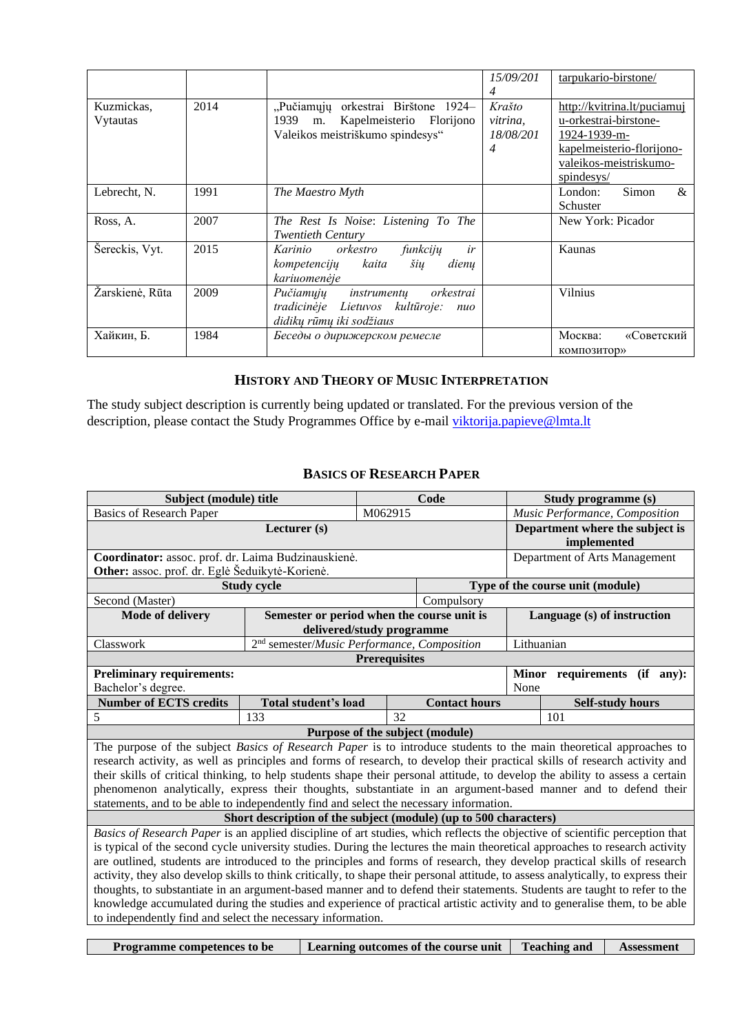|                        |      |                                                                                                                      | 15/09/201<br>4                                    | tarpukario-birstone/                                                                                                        |
|------------------------|------|----------------------------------------------------------------------------------------------------------------------|---------------------------------------------------|-----------------------------------------------------------------------------------------------------------------------------|
| Kuzmickas,<br>Vytautas | 2014 | "Pučiamųjų orkestrai Birštone 1924–<br>Kapelmeisterio<br>1939<br>Florijono<br>m.<br>Valeikos meistriškumo spindesys" | Krašto<br>vitrina,<br>18/08/201<br>$\overline{4}$ | http://kvitrina.lt/puciamuj<br>u-orkestrai-birstone-<br>1924-1939-m-<br>kapelmeisterio-florijono-<br>valeikos-meistriskumo- |
| Lebrecht, N.           | 1991 | The Maestro Myth                                                                                                     |                                                   | spindesys/<br>Simon<br>$\&$<br>London:<br>Schuster                                                                          |
| Ross, A.               | 2007 | The Rest Is Noise: Listening To The<br><b>Twentieth Century</b>                                                      |                                                   | New York: Picador                                                                                                           |
| Šereckis, Vyt.         | 2015 | ir<br>orkestro<br>funkcijų<br>Karinio<br>kaita<br>šių<br>dienu<br>kompetencijų<br>kariuomenėje                       |                                                   | Kaunas                                                                                                                      |
| Žarskienė, Rūta        | 2009 | orkestrai<br>Pučiamųjų instrumentų<br>tradicinėje Lietuvos kultūroje:<br>nuo<br>didikų rūmų iki sodžiaus             |                                                   | <b>Vilnius</b>                                                                                                              |
| Хайкин, Б.             | 1984 | Беседы о дирижерском ремесле                                                                                         |                                                   | Москва:<br>«Советский<br>композитор»                                                                                        |

### **HISTORY AND THEORY OF MUSIC INTERPRETATION**

<span id="page-15-0"></span>The study subject description is currently being updated or translated. For the previous version of the description, please contact the Study Programmes Office by e-mail [viktorija.papieve@lmta.lt](mailto:viktorija.papieve@lmta.lt)

#### **BASICS OF RESEARCH PAPER**

<span id="page-15-1"></span>

| Subject (module) title                                                                                                     |                                                                  | Code                      |                                  | Study programme (s)                                                                                                                |  |  |  |  |  |
|----------------------------------------------------------------------------------------------------------------------------|------------------------------------------------------------------|---------------------------|----------------------------------|------------------------------------------------------------------------------------------------------------------------------------|--|--|--|--|--|
| <b>Basics of Research Paper</b>                                                                                            |                                                                  | M062915                   |                                  | Music Performance, Composition                                                                                                     |  |  |  |  |  |
|                                                                                                                            | Lecturer (s)                                                     |                           |                                  | Department where the subject is                                                                                                    |  |  |  |  |  |
|                                                                                                                            |                                                                  |                           |                                  | implemented                                                                                                                        |  |  |  |  |  |
| Coordinator: assoc. prof. dr. Laima Budzinauskienė.                                                                        |                                                                  |                           |                                  | Department of Arts Management                                                                                                      |  |  |  |  |  |
| Other: assoc. prof. dr. Eglė Šeduikytė-Korienė.                                                                            |                                                                  |                           |                                  |                                                                                                                                    |  |  |  |  |  |
|                                                                                                                            | <b>Study cycle</b>                                               |                           | Type of the course unit (module) |                                                                                                                                    |  |  |  |  |  |
| Second (Master)                                                                                                            |                                                                  |                           | Compulsory                       |                                                                                                                                    |  |  |  |  |  |
| Mode of delivery                                                                                                           | Semester or period when the course unit is                       |                           |                                  | Language (s) of instruction                                                                                                        |  |  |  |  |  |
|                                                                                                                            |                                                                  | delivered/study programme |                                  |                                                                                                                                    |  |  |  |  |  |
| Classwork                                                                                                                  | 2 <sup>nd</sup> semester/Music Performance, Composition          |                           |                                  | Lithuanian                                                                                                                         |  |  |  |  |  |
|                                                                                                                            |                                                                  | <b>Prerequisites</b>      |                                  |                                                                                                                                    |  |  |  |  |  |
| <b>Preliminary requirements:</b>                                                                                           |                                                                  |                           |                                  | Minor requirements (if any):                                                                                                       |  |  |  |  |  |
| Bachelor's degree.                                                                                                         |                                                                  |                           |                                  | None                                                                                                                               |  |  |  |  |  |
| <b>Number of ECTS credits</b>                                                                                              | Total student's load                                             |                           | <b>Contact hours</b>             | <b>Self-study hours</b>                                                                                                            |  |  |  |  |  |
| 5                                                                                                                          | 133                                                              | 32                        |                                  | 101                                                                                                                                |  |  |  |  |  |
|                                                                                                                            |                                                                  |                           | Purpose of the subject (module)  |                                                                                                                                    |  |  |  |  |  |
|                                                                                                                            |                                                                  |                           |                                  | The purpose of the subject Basics of Research Paper is to introduce students to the main theoretical approaches to                 |  |  |  |  |  |
| research activity, as well as principles and forms of research, to develop their practical skills of research activity and |                                                                  |                           |                                  |                                                                                                                                    |  |  |  |  |  |
|                                                                                                                            |                                                                  |                           |                                  |                                                                                                                                    |  |  |  |  |  |
|                                                                                                                            |                                                                  |                           |                                  | their skills of critical thinking, to help students shape their personal attitude, to develop the ability to assess a certain      |  |  |  |  |  |
|                                                                                                                            |                                                                  |                           |                                  | phenomenon analytically, express their thoughts, substantiate in an argument-based manner and to defend their                      |  |  |  |  |  |
| statements, and to be able to independently find and select the necessary information.                                     |                                                                  |                           |                                  |                                                                                                                                    |  |  |  |  |  |
|                                                                                                                            | Short description of the subject (module) (up to 500 characters) |                           |                                  |                                                                                                                                    |  |  |  |  |  |
|                                                                                                                            |                                                                  |                           |                                  | Basics of Research Paper is an applied discipline of art studies, which reflects the objective of scientific perception that       |  |  |  |  |  |
|                                                                                                                            |                                                                  |                           |                                  | is typical of the second cycle university studies. During the lectures the main theoretical approaches to research activity        |  |  |  |  |  |
|                                                                                                                            |                                                                  |                           |                                  | are outlined, students are introduced to the principles and forms of research, they develop practical skills of research           |  |  |  |  |  |
|                                                                                                                            |                                                                  |                           |                                  | activity, they also develop skills to think critically, to shape their personal attitude, to assess analytically, to express their |  |  |  |  |  |
|                                                                                                                            |                                                                  |                           |                                  | thoughts, to substantiate in an argument-based manner and to defend their statements. Students are taught to refer to the          |  |  |  |  |  |
|                                                                                                                            |                                                                  |                           |                                  | knowledge accumulated during the studies and experience of practical artistic activity and to generalise them, to be able          |  |  |  |  |  |
| to independently find and select the necessary information.                                                                |                                                                  |                           |                                  |                                                                                                                                    |  |  |  |  |  |

**Programme competences to be Learning outcomes of the course unit Teaching and Assessment**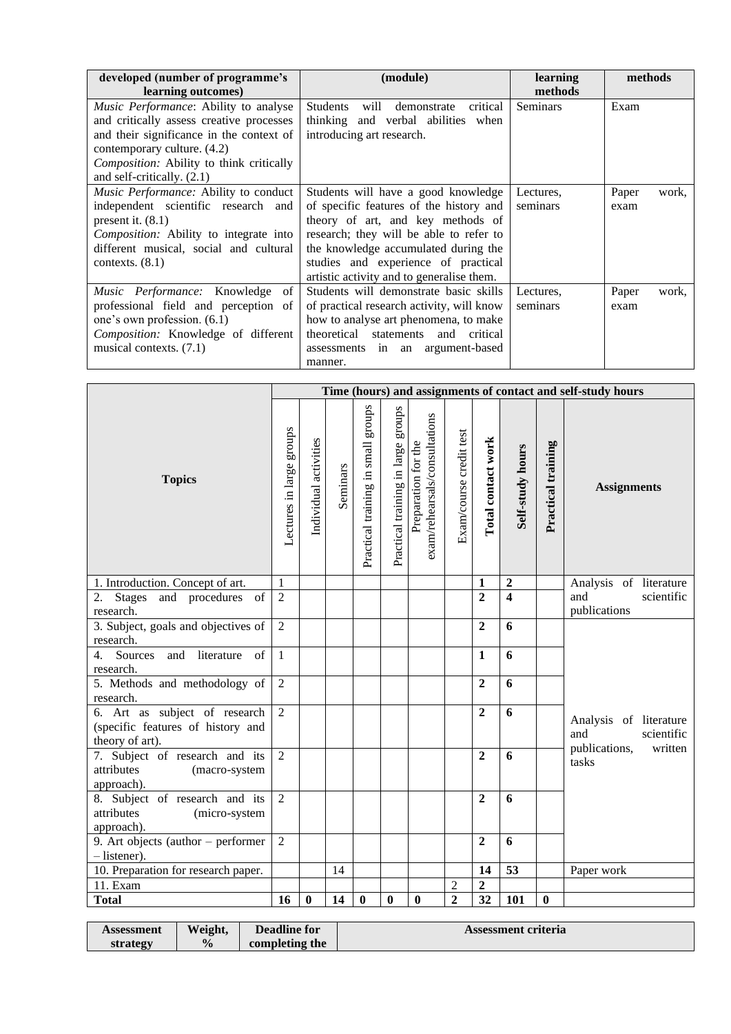| developed (number of programme's<br>learning outcomes)                                                                                                                                                                                        | (module)                                                                                                                                                                                                                                                                                   | learning<br>methods   | methods                |
|-----------------------------------------------------------------------------------------------------------------------------------------------------------------------------------------------------------------------------------------------|--------------------------------------------------------------------------------------------------------------------------------------------------------------------------------------------------------------------------------------------------------------------------------------------|-----------------------|------------------------|
| <i>Music Performance:</i> Ability to analyse<br>and critically assess creative processes<br>and their significance in the context of<br>contemporary culture. (4.2)<br>Composition: Ability to think critically<br>and self-critically. (2.1) | Students<br>will<br>critical<br>demonstrate<br>thinking and verbal abilities when<br>introducing art research.                                                                                                                                                                             | Seminars              | Exam                   |
| Music Performance: Ability to conduct<br>independent scientific research and<br>present it. $(8.1)$<br><i>Composition:</i> Ability to integrate into<br>different musical, social and cultural<br>contexts. $(8.1)$                           | Students will have a good knowledge<br>of specific features of the history and<br>theory of art, and key methods of<br>research; they will be able to refer to<br>the knowledge accumulated during the<br>studies and experience of practical<br>artistic activity and to generalise them. | Lectures,<br>seminars | Paper<br>work,<br>exam |
| Music Performance: Knowledge of<br>professional field and perception of<br>one's own profession. (6.1)<br><i>Composition:</i> Knowledge of different<br>musical contexts. (7.1)                                                               | Students will demonstrate basic skills<br>of practical research activity, will know<br>how to analyse art phenomena, to make<br>theoretical statements and critical<br>assessments in an argument-based<br>manner.                                                                         | Lectures.<br>seminars | Paper<br>work,<br>exam |

|                                                                                       |                          |                       |          |                                       |                                    |                                                      |                         |                    |                  |                    | Time (hours) and assignments of contact and self-study hours |
|---------------------------------------------------------------------------------------|--------------------------|-----------------------|----------|---------------------------------------|------------------------------------|------------------------------------------------------|-------------------------|--------------------|------------------|--------------------|--------------------------------------------------------------|
| <b>Topics</b>                                                                         | Lectures in large groups | Individual activities | Seminars | sanong<br>Practical training in small | Practical training in large groups | exam/rehearsals/consultations<br>Preparation for the | Exam/course credit test | Total contact work | Self-study hours | Practical training | <b>Assignments</b>                                           |
| 1. Introduction. Concept of art.                                                      | 1                        |                       |          |                                       |                                    |                                                      |                         | 1                  | $\boldsymbol{2}$ |                    | Analysis of literature                                       |
| 2. Stages and procedures of<br>research.                                              | $\overline{2}$           |                       |          |                                       |                                    |                                                      |                         | $\overline{2}$     | $\overline{4}$   |                    | and<br>scientific<br>publications                            |
| 3. Subject, goals and objectives of<br>research.                                      | 2                        |                       |          |                                       |                                    |                                                      |                         | $\overline{2}$     | 6                |                    |                                                              |
| Sources<br>and<br>literature<br>of<br>$\overline{4}$ .                                | $\mathbf{1}$             |                       |          |                                       |                                    |                                                      |                         | $\mathbf{1}$       | 6                |                    |                                                              |
| research.                                                                             |                          |                       |          |                                       |                                    |                                                      |                         |                    |                  |                    |                                                              |
| 5. Methods and methodology of<br>research.                                            | 2                        |                       |          |                                       |                                    |                                                      |                         | $\overline{2}$     | 6                |                    |                                                              |
| 6. Art as subject of research<br>(specific features of history and<br>theory of art). | $\overline{2}$           |                       |          |                                       |                                    |                                                      |                         | $\overline{2}$     | 6                |                    | Analysis of literature<br>and<br>scientific                  |
| 7. Subject of research and its<br>attributes<br>(macro-system<br>approach).           | $\overline{2}$           |                       |          |                                       |                                    |                                                      |                         | $\overline{2}$     | 6                |                    | written<br>publications,<br>tasks                            |
| 8. Subject of research and its<br>attributes<br>(micro-system<br>approach).           | $\overline{2}$           |                       |          |                                       |                                    |                                                      |                         | $\overline{2}$     | 6                |                    |                                                              |
| 9. Art objects (author - performer<br>$-$ listener).                                  | $\overline{2}$           |                       |          |                                       |                                    |                                                      |                         | $\overline{2}$     | 6                |                    |                                                              |
| 10. Preparation for research paper.                                                   |                          |                       | 14       |                                       |                                    |                                                      |                         | 14                 | 53               |                    | Paper work                                                   |
| 11. Exam                                                                              |                          |                       |          |                                       |                                    |                                                      | $\overline{c}$          | $\overline{2}$     |                  |                    |                                                              |
| <b>Total</b>                                                                          | 16                       | $\bf{0}$              | 14       | $\bf{0}$                              | $\bf{0}$                           | $\bf{0}$                                             | $\overline{2}$          | 32                 | 101              | $\mathbf{0}$       |                                                              |

| Assessment | Weight,       | <b>Deadline for</b> | Assessment criteria |
|------------|---------------|---------------------|---------------------|
| strategy   | $\frac{1}{2}$ | completing the      |                     |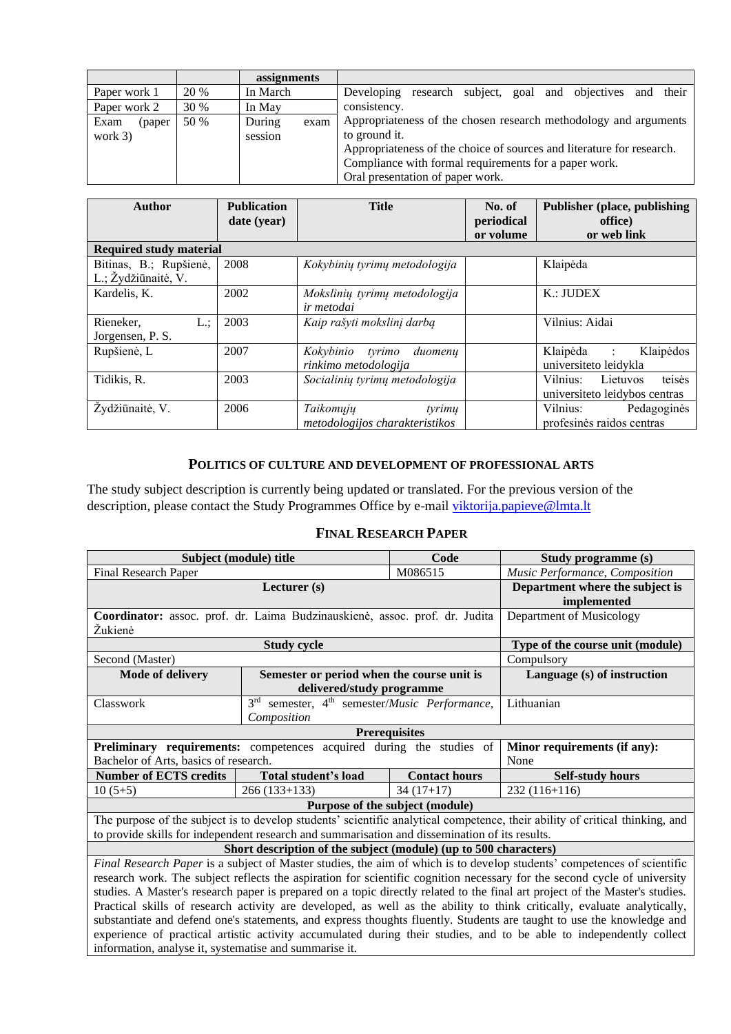|                 |             | assignments |      |                                                                       |  |  |  |  |  |
|-----------------|-------------|-------------|------|-----------------------------------------------------------------------|--|--|--|--|--|
| Paper work 1    | 20 %        | In March    |      | research subject, goal and objectives and their<br>Developing         |  |  |  |  |  |
| Paper work 2    | <b>30 %</b> | In May      |      | consistency.                                                          |  |  |  |  |  |
| Exam<br>(paper) | 50 %        | During      | exam | Appropriateness of the chosen research methodology and arguments      |  |  |  |  |  |
| work $3)$       |             | session     |      | to ground it.                                                         |  |  |  |  |  |
|                 |             |             |      | Appropriateness of the choice of sources and literature for research. |  |  |  |  |  |
|                 |             |             |      | Compliance with formal requirements for a paper work.                 |  |  |  |  |  |
|                 |             |             |      | Oral presentation of paper work.                                      |  |  |  |  |  |

| <b>Author</b>                                 | <b>Publication</b><br>date (year) | <b>Title</b>                                           | No. of<br>periodical<br>or volume | <b>Publisher (place, publishing)</b><br>office)<br>or web link |
|-----------------------------------------------|-----------------------------------|--------------------------------------------------------|-----------------------------------|----------------------------------------------------------------|
| <b>Required study material</b>                |                                   |                                                        |                                   |                                                                |
| Bitinas, B.; Rupšienė,<br>L.; Žydžiūnaitė, V. | 2008                              | Kokybinių tyrimų metodologija                          |                                   | Klaipėda                                                       |
| Kardelis, K.                                  | 2002                              | Mokslinių tyrimų metodologija<br><i>ir metodai</i>     |                                   | K.: JUDEX                                                      |
| Rieneker,<br>L:<br>Jorgensen, P. S.           | 2003                              | Kaip rašyti mokslinį darbą                             |                                   | Vilnius: Aidai                                                 |
| Rupšienė, L                                   | 2007                              | Kokybinio<br>tvrimo<br>duomenų<br>rinkimo metodologija |                                   | Klaipėda :<br>Klaipėdos<br>universiteto leidykla               |
| Tidikis, R.                                   | 2003                              | Socialinių tyrimų metodologija                         |                                   | teisės<br>Vilnius: Lietuvos<br>universiteto leidybos centras   |
| Žydžiūnaitė, V.                               | 2006                              | Taikomųjų<br>tyrimu<br>metodologijos charakteristikos  |                                   | Vilnius:<br>Pedagoginės<br>profesinės raidos centras           |

### **POLITICS OF CULTURE AND DEVELOPMENT OF PROFESSIONAL ARTS**

<span id="page-17-0"></span>The study subject description is currently being updated or translated. For the previous version of the description, please contact the Study Programmes Office by e-mail [viktorija.papieve@lmta.lt](mailto:viktorija.papieve@lmta.lt)

#### **FINAL RESEARCH PAPER**

<span id="page-17-1"></span>

| Subject (module) title                                                                                                                                                                                                                                                                                                                                                                                                                                                                                                                                                                                                                                                                                                                                                                                                                                                                       | Study programme (s)                                                                            |                                 |                                                                                                                              |  |  |  |  |  |
|----------------------------------------------------------------------------------------------------------------------------------------------------------------------------------------------------------------------------------------------------------------------------------------------------------------------------------------------------------------------------------------------------------------------------------------------------------------------------------------------------------------------------------------------------------------------------------------------------------------------------------------------------------------------------------------------------------------------------------------------------------------------------------------------------------------------------------------------------------------------------------------------|------------------------------------------------------------------------------------------------|---------------------------------|------------------------------------------------------------------------------------------------------------------------------|--|--|--|--|--|
| Final Research Paper                                                                                                                                                                                                                                                                                                                                                                                                                                                                                                                                                                                                                                                                                                                                                                                                                                                                         | Music Performance, Composition                                                                 |                                 |                                                                                                                              |  |  |  |  |  |
|                                                                                                                                                                                                                                                                                                                                                                                                                                                                                                                                                                                                                                                                                                                                                                                                                                                                                              | Department where the subject is<br>implemented                                                 |                                 |                                                                                                                              |  |  |  |  |  |
| Coordinator: assoc. prof. dr. Laima Budzinauskienė, assoc. prof. dr. Judita<br>Žukienė                                                                                                                                                                                                                                                                                                                                                                                                                                                                                                                                                                                                                                                                                                                                                                                                       | Department of Musicology                                                                       |                                 |                                                                                                                              |  |  |  |  |  |
|                                                                                                                                                                                                                                                                                                                                                                                                                                                                                                                                                                                                                                                                                                                                                                                                                                                                                              | <b>Study cycle</b>                                                                             |                                 | Type of the course unit (module)                                                                                             |  |  |  |  |  |
| Second (Master)                                                                                                                                                                                                                                                                                                                                                                                                                                                                                                                                                                                                                                                                                                                                                                                                                                                                              |                                                                                                |                                 | Compulsory                                                                                                                   |  |  |  |  |  |
| <b>Mode of delivery</b>                                                                                                                                                                                                                                                                                                                                                                                                                                                                                                                                                                                                                                                                                                                                                                                                                                                                      | Semester or period when the course unit is<br>delivered/study programme                        |                                 | Language (s) of instruction                                                                                                  |  |  |  |  |  |
| Classwork                                                                                                                                                                                                                                                                                                                                                                                                                                                                                                                                                                                                                                                                                                                                                                                                                                                                                    | 3rd semester, 4 <sup>th</sup> semester/Music Performance,<br>Composition                       |                                 |                                                                                                                              |  |  |  |  |  |
| <b>Prerequisites</b>                                                                                                                                                                                                                                                                                                                                                                                                                                                                                                                                                                                                                                                                                                                                                                                                                                                                         |                                                                                                |                                 |                                                                                                                              |  |  |  |  |  |
| Preliminary requirements: competences acquired during the studies of                                                                                                                                                                                                                                                                                                                                                                                                                                                                                                                                                                                                                                                                                                                                                                                                                         | Minor requirements (if any):                                                                   |                                 |                                                                                                                              |  |  |  |  |  |
| Bachelor of Arts, basics of research.                                                                                                                                                                                                                                                                                                                                                                                                                                                                                                                                                                                                                                                                                                                                                                                                                                                        |                                                                                                |                                 | None                                                                                                                         |  |  |  |  |  |
| <b>Number of ECTS credits</b>                                                                                                                                                                                                                                                                                                                                                                                                                                                                                                                                                                                                                                                                                                                                                                                                                                                                | Total student's load                                                                           | <b>Contact hours</b>            | <b>Self-study hours</b>                                                                                                      |  |  |  |  |  |
| $10(5+5)$                                                                                                                                                                                                                                                                                                                                                                                                                                                                                                                                                                                                                                                                                                                                                                                                                                                                                    | $266(133+133)$                                                                                 | $34(17+17)$                     | $232(116+116)$                                                                                                               |  |  |  |  |  |
|                                                                                                                                                                                                                                                                                                                                                                                                                                                                                                                                                                                                                                                                                                                                                                                                                                                                                              |                                                                                                | Purpose of the subject (module) |                                                                                                                              |  |  |  |  |  |
|                                                                                                                                                                                                                                                                                                                                                                                                                                                                                                                                                                                                                                                                                                                                                                                                                                                                                              | to provide skills for independent research and summarisation and dissemination of its results. |                                 | The purpose of the subject is to develop students' scientific analytical competence, their ability of critical thinking, and |  |  |  |  |  |
|                                                                                                                                                                                                                                                                                                                                                                                                                                                                                                                                                                                                                                                                                                                                                                                                                                                                                              |                                                                                                |                                 |                                                                                                                              |  |  |  |  |  |
| Short description of the subject (module) (up to 500 characters)<br>Final Research Paper is a subject of Master studies, the aim of which is to develop students' competences of scientific<br>research work. The subject reflects the aspiration for scientific cognition necessary for the second cycle of university<br>studies. A Master's research paper is prepared on a topic directly related to the final art project of the Master's studies.<br>Practical skills of research activity are developed, as well as the ability to think critically, evaluate analytically,<br>substantiate and defend one's statements, and express thoughts fluently. Students are taught to use the knowledge and<br>experience of practical artistic activity accumulated during their studies, and to be able to independently collect<br>information, analyse it, systematise and summarise it. |                                                                                                |                                 |                                                                                                                              |  |  |  |  |  |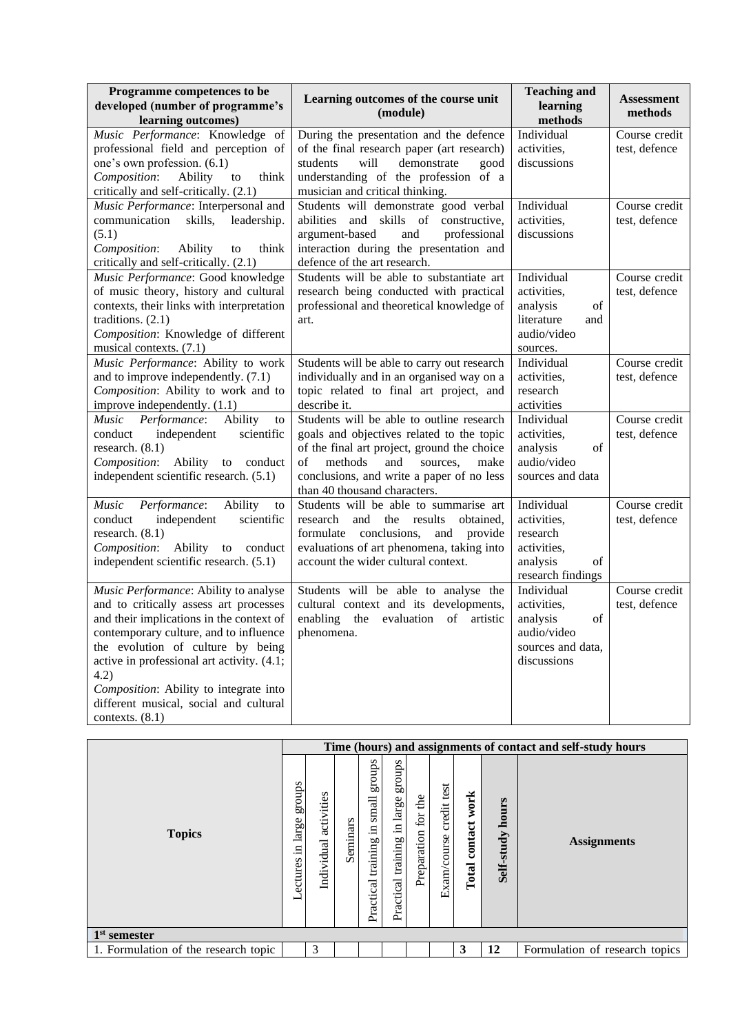| Programme competences to be<br>developed (number of programme's<br>learning outcomes)                                                                                                                                                                                                                                                                                     | Learning outcomes of the course unit<br>(module)                                                                                                                                                                                                               | <b>Teaching and</b><br>learning<br>methods                                                     | <b>Assessment</b><br>methods   |
|---------------------------------------------------------------------------------------------------------------------------------------------------------------------------------------------------------------------------------------------------------------------------------------------------------------------------------------------------------------------------|----------------------------------------------------------------------------------------------------------------------------------------------------------------------------------------------------------------------------------------------------------------|------------------------------------------------------------------------------------------------|--------------------------------|
| Music Performance: Knowledge of<br>professional field and perception of                                                                                                                                                                                                                                                                                                   | During the presentation and the defence<br>of the final research paper (art research)                                                                                                                                                                          | Individual<br>activities,<br>discussions                                                       | Course credit<br>test, defence |
| one's own profession. (6.1)<br>Composition:<br>Ability<br>to<br>think<br>critically and self-critically. (2.1)                                                                                                                                                                                                                                                            | students<br>demonstrate<br>good<br>will<br>understanding of the profession of a<br>musician and critical thinking.                                                                                                                                             |                                                                                                |                                |
| Music Performance: Interpersonal and<br>communication<br>skills,<br>leadership.<br>(5.1)<br>Composition:<br>think<br>Ability<br>to<br>critically and self-critically. (2.1)                                                                                                                                                                                               | Students will demonstrate good verbal<br>abilities<br>skills of constructive,<br>and<br>argument-based<br>professional<br>and<br>interaction during the presentation and<br>defence of the art research.                                                       | Individual<br>activities,<br>discussions                                                       | Course credit<br>test, defence |
| Music Performance: Good knowledge<br>of music theory, history and cultural<br>contexts, their links with interpretation<br>traditions. $(2.1)$<br>Composition: Knowledge of different<br>musical contexts. (7.1)                                                                                                                                                          | Students will be able to substantiate art<br>research being conducted with practical<br>professional and theoretical knowledge of<br>art.                                                                                                                      | Individual<br>activities,<br>analysis<br>of<br>literature<br>and<br>audio/video<br>sources.    | Course credit<br>test, defence |
| Music Performance: Ability to work<br>and to improve independently. (7.1)<br>Composition: Ability to work and to<br>improve independently. (1.1)                                                                                                                                                                                                                          | Students will be able to carry out research<br>individually and in an organised way on a<br>topic related to final art project, and<br>describe it.                                                                                                            | Individual<br>activities,<br>research<br>activities                                            | Course credit<br>test, defence |
| Performance:<br>Ability<br>Music<br>to<br>independent<br>scientific<br>conduct<br>research. (8.1)<br>Composition:<br>Ability<br>to conduct<br>independent scientific research. (5.1)                                                                                                                                                                                      | Students will be able to outline research<br>goals and objectives related to the topic<br>of the final art project, ground the choice<br>of<br>methods<br>and<br>sources,<br>make<br>conclusions, and write a paper of no less<br>than 40 thousand characters. | Individual<br>activities,<br>analysis<br>of<br>audio/video<br>sources and data                 | Course credit<br>test, defence |
| Ability<br>Music<br>Performance:<br>to<br>independent<br>scientific<br>conduct<br>research. $(8.1)$<br>Ability<br>Composition:<br>to conduct<br>independent scientific research. (5.1)                                                                                                                                                                                    | Students will be able to summarise art<br>and<br>the<br>results<br>research<br>obtained.<br>formulate conclusions,<br>and provide<br>evaluations of art phenomena, taking into<br>account the wider cultural context.                                          | Individual<br>activities,<br>research<br>activities,<br>analysis<br>of<br>research findings    | Course credit<br>test, defence |
| Music Performance: Ability to analyse<br>and to critically assess art processes<br>and their implications in the context of<br>contemporary culture, and to influence<br>the evolution of culture by being<br>active in professional art activity. (4.1;<br>4.2)<br>Composition: Ability to integrate into<br>different musical, social and cultural<br>contexts. $(8.1)$ | Students will be able to analyse the<br>cultural context and its developments,<br>enabling the evaluation of artistic<br>phenomena.                                                                                                                            | Individual<br>activities,<br>analysis<br>of<br>audio/video<br>sources and data,<br>discussions | Course credit<br>test, defence |

|                                      |                                   |                          |          |                                                |                                                |                          |                               |                          |                     | Time (hours) and assignments of contact and self-study hours |
|--------------------------------------|-----------------------------------|--------------------------|----------|------------------------------------------------|------------------------------------------------|--------------------------|-------------------------------|--------------------------|---------------------|--------------------------------------------------------------|
| <b>Topics</b>                        | groups<br>large<br>.≡<br>Lectures | activities<br>Individual | Seminars | sanong<br>small<br>드.<br>training<br>Practical | groups<br>large<br>크.<br>training<br>Practical | đe<br>for<br>Preparation | test<br>credit<br>Exam/course | work<br>contact<br>Total | hours<br>Self-study | <b>Assignments</b>                                           |
| $1st$ semester                       |                                   |                          |          |                                                |                                                |                          |                               |                          |                     |                                                              |
| 1. Formulation of the research topic |                                   | 3                        |          |                                                |                                                |                          |                               | 3                        | 12                  | Formulation of research topics                               |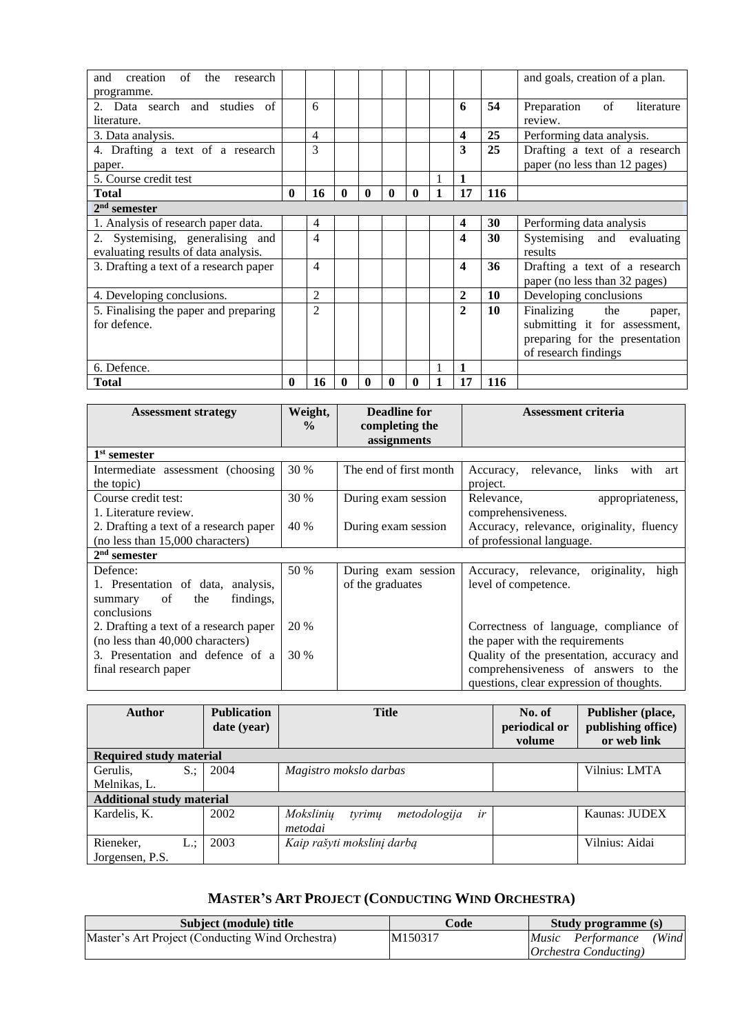| creation<br>of<br>and<br>the<br>research<br>programme. |              |                |   |   |   |  |              |     | and goals, creation of a plan.             |
|--------------------------------------------------------|--------------|----------------|---|---|---|--|--------------|-----|--------------------------------------------|
| 2. Data search and studies of<br>literature.           |              | 6              |   |   |   |  | 6            | 54  | of<br>Preparation<br>literature<br>review. |
| 3. Data analysis.                                      |              | 4              |   |   |   |  | 4            | 25  | Performing data analysis.                  |
| 4. Drafting a text of a research                       |              | 3              |   |   |   |  | 3            | 25  | Drafting a text of a research              |
| paper.                                                 |              |                |   |   |   |  |              |     | paper (no less than 12 pages)              |
| 5. Course credit test                                  |              |                |   |   |   |  | 1            |     |                                            |
| <b>Total</b>                                           | $\bf{0}$     | 16             | 0 | 0 | 0 |  | 17           | 116 |                                            |
| $2nd$ semester                                         |              |                |   |   |   |  |              |     |                                            |
| 1. Analysis of research paper data.                    |              | 4              |   |   |   |  | 4            | 30  | Performing data analysis                   |
| 2. Systemising, generalising and                       |              | $\overline{4}$ |   |   |   |  | 4            | 30  | Systemising and evaluating                 |
| evaluating results of data analysis.                   |              |                |   |   |   |  |              |     | results                                    |
| 3. Drafting a text of a research paper                 |              | $\overline{4}$ |   |   |   |  | 4            | 36  | Drafting a text of a research              |
|                                                        |              |                |   |   |   |  |              |     | paper (no less than 32 pages)              |
| 4. Developing conclusions.                             |              | $\overline{2}$ |   |   |   |  | 2            | 10  | Developing conclusions                     |
| 5. Finalising the paper and preparing                  |              | $\overline{2}$ |   |   |   |  | $\mathbf{2}$ | 10  | Finalizing<br>the<br>paper,                |
| for defence.                                           |              |                |   |   |   |  |              |     | submitting it for assessment,              |
|                                                        |              |                |   |   |   |  |              |     | preparing for the presentation             |
|                                                        |              |                |   |   |   |  |              |     | of research findings                       |
| 6. Defence.                                            |              |                |   |   |   |  |              |     |                                            |
| <b>Total</b>                                           | $\mathbf{0}$ | 16             | 0 | 0 | 0 |  | 17           | 116 |                                            |

| <b>Assessment strategy</b>                   | Weight,       | <b>Deadline for</b>    | Assessment criteria                             |  |  |
|----------------------------------------------|---------------|------------------------|-------------------------------------------------|--|--|
|                                              | $\frac{0}{0}$ | completing the         |                                                 |  |  |
|                                              |               | assignments            |                                                 |  |  |
| 1 <sup>st</sup> semester                     |               |                        |                                                 |  |  |
| Intermediate assessment (choosing)           | 30 %          | The end of first month | links<br>relevance,<br>Accuracy,<br>with<br>art |  |  |
| the topic)                                   |               |                        | project.                                        |  |  |
| Course credit test:                          | 30 %          | During exam session    | Relevance,<br>appropriateness,                  |  |  |
| 1. Literature review.                        |               |                        | comprehensiveness.                              |  |  |
| 2. Drafting a text of a research paper       | 40 %          | During exam session    | Accuracy, relevance, originality, fluency       |  |  |
| (no less than 15,000 characters)             |               |                        | of professional language.                       |  |  |
| $2nd$ semester                               |               |                        |                                                 |  |  |
| Defence:                                     | 50 %          | During exam session    | Accuracy, relevance, originality,<br>high       |  |  |
| 1. Presentation of data, analysis,           |               | of the graduates       | level of competence.                            |  |  |
| findings,<br><sub>of</sub><br>the<br>summary |               |                        |                                                 |  |  |
| conclusions                                  |               |                        |                                                 |  |  |
| 2. Drafting a text of a research paper       | 20 %          |                        | Correctness of language, compliance of          |  |  |
| (no less than 40,000 characters)             |               |                        | the paper with the requirements                 |  |  |
| 3. Presentation and defence of a             | 30 %          |                        | Quality of the presentation, accuracy and       |  |  |
| final research paper                         |               |                        | comprehensiveness of answers to the             |  |  |
|                                              |               |                        | questions, clear expression of thoughts.        |  |  |

| <b>Author</b>                       | <b>Publication</b><br>date (year) | <b>Title</b>                                         | No. of<br>periodical or<br>volume | Publisher (place,<br>publishing office)<br>or web link |
|-------------------------------------|-----------------------------------|------------------------------------------------------|-----------------------------------|--------------------------------------------------------|
| <b>Required study material</b>      |                                   |                                                      |                                   |                                                        |
| $S$ :<br>Gerulis.                   | 2004                              | Magistro mokslo darbas                               |                                   | Vilnius: LMTA                                          |
| Melnikas, L.                        |                                   |                                                      |                                   |                                                        |
| <b>Additional study material</b>    |                                   |                                                      |                                   |                                                        |
| Kardelis, K.                        | 2002                              | ir<br>Mokslinių<br>tyrimu<br>metodologija<br>metodai |                                   | Kaunas: JUDEX                                          |
| Rieneker,<br>L.:<br>Jorgensen, P.S. | 2003                              | Kaip rašyti mokslinį darbą                           |                                   | Vilnius: Aidai                                         |

# **MASTER'S ART PROJECT (CONDUCTING WIND ORCHESTRA)**

<span id="page-19-0"></span>

| Subject (module) title                           | Code                | Study programme (s)           |
|--------------------------------------------------|---------------------|-------------------------------|
| Master's Art Project (Conducting Wind Orchestra) | M <sub>150317</sub> | (Wind<br>Music Performance    |
|                                                  |                     | <i>Orchestra Conducting</i> ) |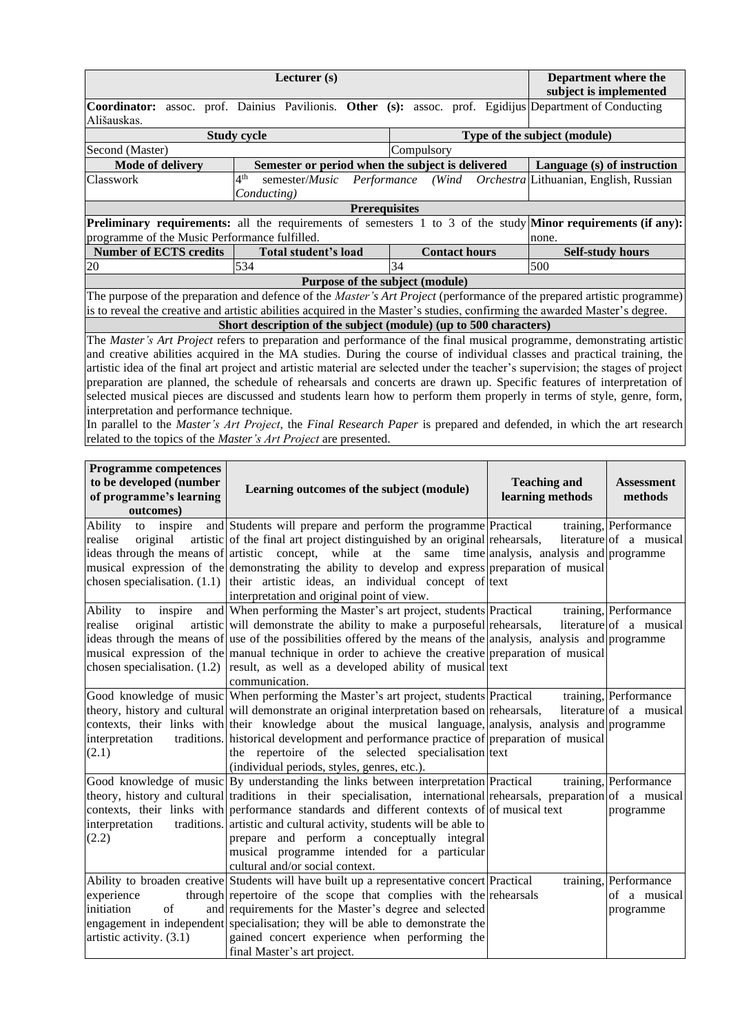|                                               | Department where the<br>subject is implemented                                                                             |                      |                                                                                                                                     |
|-----------------------------------------------|----------------------------------------------------------------------------------------------------------------------------|----------------------|-------------------------------------------------------------------------------------------------------------------------------------|
| Ališauskas.                                   | Coordinator: assoc. prof. Dainius Pavilionis. Other (s): assoc. prof. Egidijus Department of Conducting                    |                      |                                                                                                                                     |
|                                               | <b>Study cycle</b>                                                                                                         |                      | Type of the subject (module)                                                                                                        |
| Second (Master)                               |                                                                                                                            | Compulsory           |                                                                                                                                     |
| Mode of delivery                              | Semester or period when the subject is delivered                                                                           |                      | Language (s) of instruction                                                                                                         |
| Classwork                                     | 4 <sup>th</sup><br>semester/ <i>Music</i>                                                                                  | Performance (Wind    | Orchestra Lithuanian, English, Russian                                                                                              |
|                                               | Conducting)                                                                                                                |                      |                                                                                                                                     |
|                                               | <b>Prerequisites</b>                                                                                                       |                      |                                                                                                                                     |
| programme of the Music Performance fulfilled. |                                                                                                                            |                      | <b>Preliminary requirements:</b> all the requirements of semesters 1 to 3 of the study <b>Minor requirements (if any):</b><br>none. |
| <b>Number of ECTS credits</b>                 | Total student's load                                                                                                       | <b>Contact hours</b> | <b>Self-study hours</b>                                                                                                             |
|                                               |                                                                                                                            |                      |                                                                                                                                     |
| 20                                            | 534                                                                                                                        | 34                   | 500                                                                                                                                 |
|                                               | Purpose of the subject (module)                                                                                            |                      |                                                                                                                                     |
|                                               |                                                                                                                            |                      | The purpose of the preparation and defence of the <i>Master's Art Project</i> (performance of the prepared artistic programme)      |
|                                               | is to reveal the creative and artistic abilities acquired in the Master's studies, confirming the awarded Master's degree. |                      |                                                                                                                                     |
|                                               | Short description of the subject (module) (up to 500 characters)                                                           |                      |                                                                                                                                     |
|                                               |                                                                                                                            |                      | The Master's Art Project refers to preparation and performance of the final musical programme, demonstrating artistic               |
|                                               |                                                                                                                            |                      | and creative abilities acquired in the MA studies. During the course of individual classes and practical training, the              |
|                                               |                                                                                                                            |                      | artistic idea of the final art project and artistic material are selected under the teacher's supervision; the stages of project    |
|                                               |                                                                                                                            |                      | preparation are planned, the schedule of rehearsals and concerts are drawn up. Specific features of interpretation of               |
|                                               |                                                                                                                            |                      | selected musical pieces are discussed and students learn how to perform them properly in terms of style, genre, form,               |

In parallel to the *Master's Art Project*, the *Final Research Paper* is prepared and defended, in which the art research related to the topics of the *Master's Art Project* are presented.

| <b>Programme competences</b><br>to be developed (number<br>of programme's learning<br>outcomes) | Learning outcomes of the subject (module)                                                                                                                                                                                                                                                                                                                                                                                                                                                                         | <b>Teaching and</b><br>learning methods           | <b>Assessment</b><br>methods                       |
|-------------------------------------------------------------------------------------------------|-------------------------------------------------------------------------------------------------------------------------------------------------------------------------------------------------------------------------------------------------------------------------------------------------------------------------------------------------------------------------------------------------------------------------------------------------------------------------------------------------------------------|---------------------------------------------------|----------------------------------------------------|
| Ability<br>inspire<br>to<br>realise<br>original                                                 | and Students will prepare and perform the programme Practical<br>artistic of the final art project distinguished by an original rehearsals,<br>ideas through the means of artistic concept, while<br>musical expression of the demonstrating the ability to develop and express preparation of musical<br>chosen specialisation. $(1.1)$ their artistic ideas, an individual concept of text<br>interpretation and original point of view.                                                                        | at the same time analysis, analysis and programme | training, Performance<br>literature of a musical   |
| Ability<br>inspire<br>to<br>realise<br>original                                                 | and When performing the Master's art project, students Practical<br>artistic will demonstrate the ability to make a purposeful rehearsals,<br>ideas through the means of use of the possibilities offered by the means of the analysis, analysis and programme<br>musical expression of the manual technique in order to achieve the creative preparation of musical<br>chosen specialisation. $(1.2)$ result, as well as a developed ability of musical text<br>communication.                                   |                                                   | training, Performance<br>literature of a musical   |
| interpretation<br>(2.1)                                                                         | Good knowledge of music When performing the Master's art project, students Practical<br>theory, history and cultural will demonstrate an original interpretation based on rehearsals,<br>contexts, their links with their knowledge about the musical language, analysis, analysis and programme<br>traditions. historical development and performance practice of preparation of musical<br>the repertoire of the selected specialisation text<br>(individual periods, styles, genres, etc.).                    |                                                   | training, Performance<br>literature of a musical   |
| interpretation<br>(2.2)                                                                         | Good knowledge of music By understanding the links between interpretation Practical<br>theory, history and cultural traditions in their specialisation, international rehearsals, preparation of a musical<br>contexts, their links with performance standards and different contexts of of musical text<br>traditions. artistic and cultural activity, students will be able to<br>prepare and perform a conceptually integral<br>musical programme intended for a particular<br>cultural and/or social context. |                                                   | training, Performance<br>programme                 |
| experience<br>initiation<br>$\sigma$ f<br>artistic activity. (3.1)                              | Ability to broaden creative Students will have built up a representative concert Practical<br>through repertoire of the scope that complies with the rehearsals<br>and requirements for the Master's degree and selected<br>engagement in independent specialisation; they will be able to demonstrate the<br>gained concert experience when performing the<br>final Master's art project.                                                                                                                        |                                                   | training, Performance<br>of a musical<br>programme |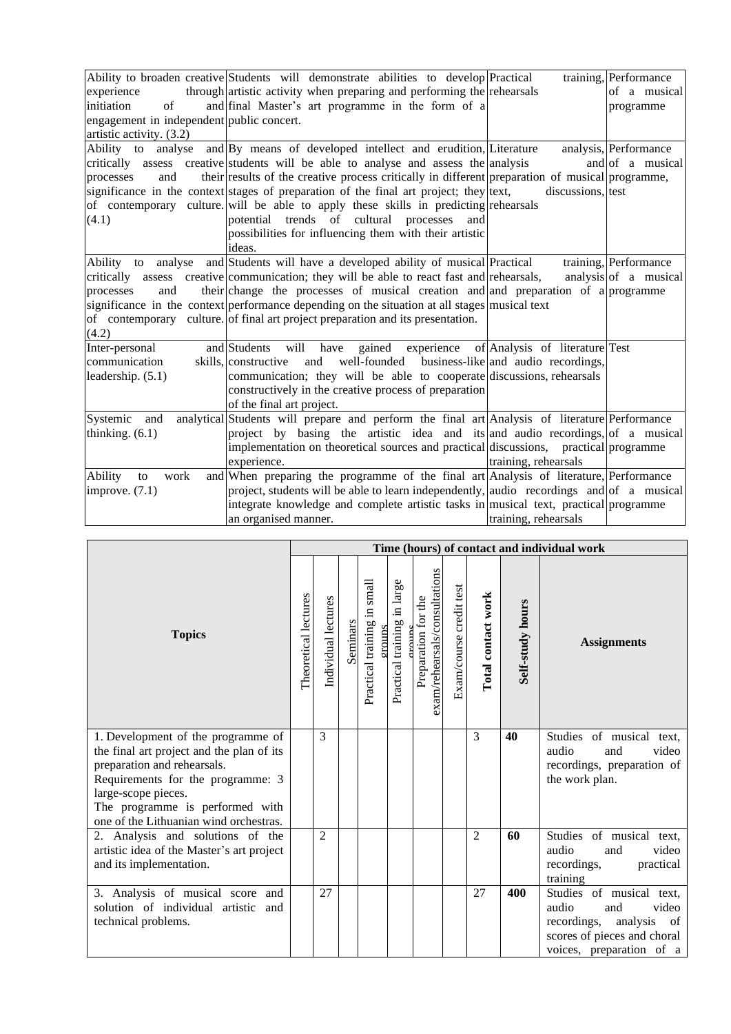|                                           | Ability to broaden creative Students will demonstrate abilities to develop Practical            |                                     | training, Performance |
|-------------------------------------------|-------------------------------------------------------------------------------------------------|-------------------------------------|-----------------------|
| experience                                | through artistic activity when preparing and performing the rehearsals                          |                                     | of a musical          |
| initiation<br>of                          | and final Master's art programme in the form of a                                               |                                     | programme             |
| engagement in independent public concert. |                                                                                                 |                                     |                       |
| artistic activity. (3.2)                  |                                                                                                 |                                     |                       |
|                                           | Ability to analyse and By means of developed intellect and erudition, Literature                |                                     | analysis, Performance |
|                                           | critically assess creative students will be able to analyse and assess the analysis             |                                     | and of a musical      |
| and<br>processes                          | their results of the creative process critically in different preparation of musical programme, |                                     |                       |
|                                           | significance in the context stages of preparation of the final art project; they ltext,         | discussions, test                   |                       |
|                                           | of contemporary culture. will be able to apply these skills in predicting rehearsals            |                                     |                       |
| (4.1)                                     | potential trends of cultural processes<br>and                                                   |                                     |                       |
|                                           | possibilities for influencing them with their artistic                                          |                                     |                       |
|                                           | ideas.                                                                                          |                                     |                       |
|                                           | Ability to analyse and Students will have a developed ability of musical Practical              |                                     | training, Performance |
|                                           | critically assess creative communication; they will be able to react fast and rehearsals,       |                                     | analysis of a musical |
| processes<br>and                          | their change the processes of musical creation and and preparation of a programme               |                                     |                       |
|                                           | significance in the context performance depending on the situation at all stages musical text   |                                     |                       |
|                                           | of contemporary culture. of final art project preparation and its presentation.                 |                                     |                       |
| (4.2)                                     |                                                                                                 |                                     |                       |
| Inter-personal                            | will have gained experience of Analysis of literature Test<br>and Students                      |                                     |                       |
| communication                             | and well-founded<br>skills, constructive                                                        | business-like and audio recordings, |                       |
| leadership. (5.1)                         | communication; they will be able to cooperate discussions, rehearsals                           |                                     |                       |
|                                           | constructively in the creative process of preparation                                           |                                     |                       |
|                                           | of the final art project.                                                                       |                                     |                       |
| Systemic<br>and                           | analytical Students will prepare and perform the final art Analysis of literature Performance   |                                     |                       |
| thinking. $(6.1)$                         | project by basing the artistic idea and its and audio recordings, of a musical                  |                                     |                       |
|                                           | implementation on theoretical sources and practical discussions, practical programme            |                                     |                       |
|                                           | experience.                                                                                     | training, rehearsals                |                       |
| Ability<br>work<br>to                     | and When preparing the programme of the final art Analysis of literature, Performance           |                                     |                       |
| improve. $(7.1)$                          | project, students will be able to learn independently, and or ecordings and of a musical        |                                     |                       |
|                                           | integrate knowledge and complete artistic tasks in musical text, practical programme            |                                     |                       |
|                                           | an organised manner.                                                                            | training, rehearsals                |                       |

|                                                                                                                                                                                                                                                         |  | Time (hours) of contact and individual work |          |                                          |                                |                                                      |                         |                    |                  |                                                                                                                                               |
|---------------------------------------------------------------------------------------------------------------------------------------------------------------------------------------------------------------------------------------------------------|--|---------------------------------------------|----------|------------------------------------------|--------------------------------|------------------------------------------------------|-------------------------|--------------------|------------------|-----------------------------------------------------------------------------------------------------------------------------------------------|
| <b>Topics</b>                                                                                                                                                                                                                                           |  | Individual lectures                         | Seminars | small<br>Practical training in<br>eroups | in large<br>Practical training | exam/rehearsals/consultations<br>Preparation for the | Exam/course credit test | Total contact work | Self-study hours | <b>Assignments</b>                                                                                                                            |
| 1. Development of the programme of<br>the final art project and the plan of its<br>preparation and rehearsals.<br>Requirements for the programme: 3<br>large-scope pieces.<br>The programme is performed with<br>one of the Lithuanian wind orchestras. |  | 3                                           |          |                                          |                                |                                                      |                         | 3                  | 40               | Studies of musical text,<br>video<br>audio<br>and<br>recordings, preparation of<br>the work plan.                                             |
| 2. Analysis and solutions of the<br>artistic idea of the Master's art project<br>and its implementation.                                                                                                                                                |  | $\overline{2}$                              |          |                                          |                                |                                                      |                         | $\overline{2}$     | 60               | Studies of musical text,<br>audio<br>video<br>and<br>recordings,<br>practical<br>training                                                     |
| 3. Analysis of musical score and<br>solution of individual artistic<br>and<br>technical problems.                                                                                                                                                       |  | 27                                          |          |                                          |                                |                                                      |                         | 27                 | 400              | Studies of musical text,<br>video<br>audio<br>and<br>recordings,<br>analysis<br>of<br>scores of pieces and choral<br>voices, preparation of a |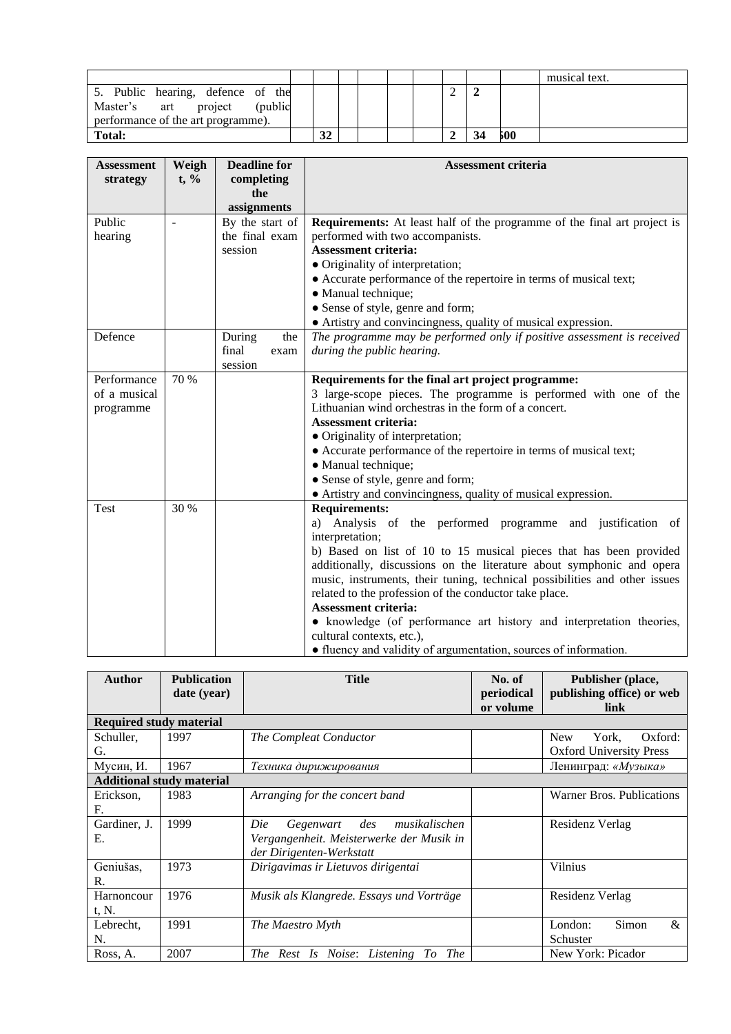|                                                                                                                |    |  |  |  |     | musical text. |
|----------------------------------------------------------------------------------------------------------------|----|--|--|--|-----|---------------|
| 5. Public hearing, defence of the<br>Master's art<br>(publid)<br>project<br>performance of the art programme). |    |  |  |  |     |               |
| <b>Total:</b>                                                                                                  | 32 |  |  |  | 500 |               |

| <b>Assessment</b><br>strategy | Weigh<br>$t, \%$ | <b>Deadline for</b><br>completing<br>the<br>assignments          | <b>Assessment criteria</b>                                                                                               |  |  |  |  |  |
|-------------------------------|------------------|------------------------------------------------------------------|--------------------------------------------------------------------------------------------------------------------------|--|--|--|--|--|
| Public                        |                  | By the start of                                                  | <b>Requirements:</b> At least half of the programme of the final art project is                                          |  |  |  |  |  |
| hearing                       |                  | the final exam                                                   | performed with two accompanists.                                                                                         |  |  |  |  |  |
|                               |                  | session                                                          | <b>Assessment criteria:</b>                                                                                              |  |  |  |  |  |
|                               |                  |                                                                  | • Originality of interpretation;                                                                                         |  |  |  |  |  |
|                               |                  |                                                                  | • Accurate performance of the repertoire in terms of musical text;                                                       |  |  |  |  |  |
|                               |                  |                                                                  | · Manual technique;                                                                                                      |  |  |  |  |  |
|                               |                  |                                                                  | • Sense of style, genre and form;                                                                                        |  |  |  |  |  |
|                               |                  |                                                                  | • Artistry and convincingness, quality of musical expression.                                                            |  |  |  |  |  |
| Defence                       |                  | During<br>the                                                    | The programme may be performed only if positive assessment is received                                                   |  |  |  |  |  |
|                               |                  | final<br>exam                                                    | during the public hearing.                                                                                               |  |  |  |  |  |
|                               |                  | session                                                          |                                                                                                                          |  |  |  |  |  |
| Performance<br>of a musical   | 70 %             |                                                                  | Requirements for the final art project programme:                                                                        |  |  |  |  |  |
|                               |                  |                                                                  | 3 large-scope pieces. The programme is performed with one of the<br>Lithuanian wind orchestras in the form of a concert. |  |  |  |  |  |
| programme                     |                  |                                                                  | <b>Assessment criteria:</b>                                                                                              |  |  |  |  |  |
|                               |                  |                                                                  | • Originality of interpretation;                                                                                         |  |  |  |  |  |
|                               |                  |                                                                  | • Accurate performance of the repertoire in terms of musical text;                                                       |  |  |  |  |  |
|                               |                  |                                                                  | · Manual technique;                                                                                                      |  |  |  |  |  |
|                               |                  |                                                                  | • Sense of style, genre and form;                                                                                        |  |  |  |  |  |
|                               |                  |                                                                  | • Artistry and convincingness, quality of musical expression.                                                            |  |  |  |  |  |
| Test                          | 30 %             |                                                                  | <b>Requirements:</b>                                                                                                     |  |  |  |  |  |
|                               |                  |                                                                  | a) Analysis of the performed programme and justification of                                                              |  |  |  |  |  |
|                               |                  |                                                                  | interpretation;                                                                                                          |  |  |  |  |  |
|                               |                  |                                                                  | b) Based on list of 10 to 15 musical pieces that has been provided                                                       |  |  |  |  |  |
|                               |                  |                                                                  | additionally, discussions on the literature about symphonic and opera                                                    |  |  |  |  |  |
|                               |                  |                                                                  | music, instruments, their tuning, technical possibilities and other issues                                               |  |  |  |  |  |
|                               |                  |                                                                  | related to the profession of the conductor take place.                                                                   |  |  |  |  |  |
|                               |                  |                                                                  | <b>Assessment criteria:</b>                                                                                              |  |  |  |  |  |
|                               |                  |                                                                  | • knowledge (of performance art history and interpretation theories,                                                     |  |  |  |  |  |
|                               |                  |                                                                  | cultural contexts, etc.),                                                                                                |  |  |  |  |  |
|                               |                  | • fluency and validity of argumentation, sources of information. |                                                                                                                          |  |  |  |  |  |

| Author        | <b>Publication</b>               | <b>Title</b>                             | No. of            | Publisher (place,              |  |  |  |  |
|---------------|----------------------------------|------------------------------------------|-------------------|--------------------------------|--|--|--|--|
|               | date (year)                      |                                          | periodical        | publishing office) or web      |  |  |  |  |
|               |                                  |                                          | or volume         |                                |  |  |  |  |
|               |                                  |                                          |                   | link                           |  |  |  |  |
|               | <b>Required study material</b>   |                                          |                   |                                |  |  |  |  |
| Schuller,     | 1997                             | The Compleat Conductor                   | <b>New</b>        |                                |  |  |  |  |
| G.            |                                  |                                          |                   | <b>Oxford University Press</b> |  |  |  |  |
| Мусин, И.     | 1967                             | Техника дирижирования                    |                   |                                |  |  |  |  |
|               | <b>Additional study material</b> |                                          |                   |                                |  |  |  |  |
| Erickson,     | 1983                             | Arranging for the concert band           |                   | Warner Bros. Publications      |  |  |  |  |
| F.            |                                  |                                          |                   |                                |  |  |  |  |
| Gardiner, J.  | 1999                             | musikalischen<br>Die<br>Gegenwart des    |                   | Residenz Verlag                |  |  |  |  |
| Е.            |                                  | Vergangenheit. Meisterwerke der Musik in |                   |                                |  |  |  |  |
|               |                                  | der Dirigenten-Werkstatt                 |                   |                                |  |  |  |  |
| Geniušas,     | 1973                             | Dirigavimas ir Lietuvos dirigentai       |                   | Vilnius                        |  |  |  |  |
| $\mathbf R$ . |                                  |                                          |                   |                                |  |  |  |  |
| Harnoncour    | 1976                             | Musik als Klangrede. Essays und Vorträge |                   | Residenz Verlag                |  |  |  |  |
| t, N.         |                                  |                                          |                   |                                |  |  |  |  |
| Lebrecht,     | 1991                             | The Maestro Myth                         |                   | Simon<br>London:<br>&          |  |  |  |  |
| N.            |                                  |                                          |                   | Schuster                       |  |  |  |  |
| Ross, A.      | 2007                             | The Rest Is Noise: Listening To The      | New York: Picador |                                |  |  |  |  |